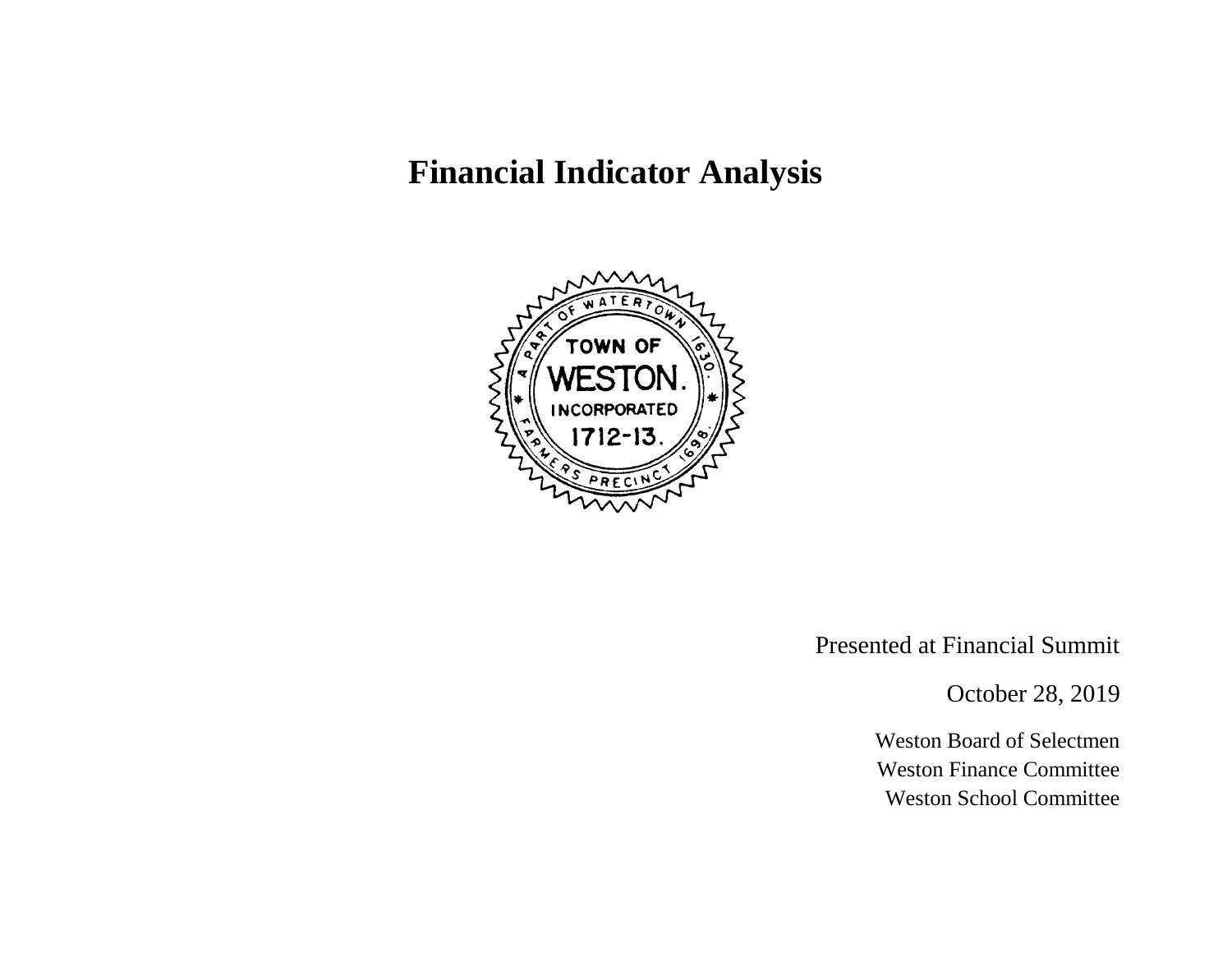# **Financial Indicator Analysis**



Presented at Financial Summit

October 28, 2019

Weston Board of Selectmen Weston Finance Committee Weston School Committee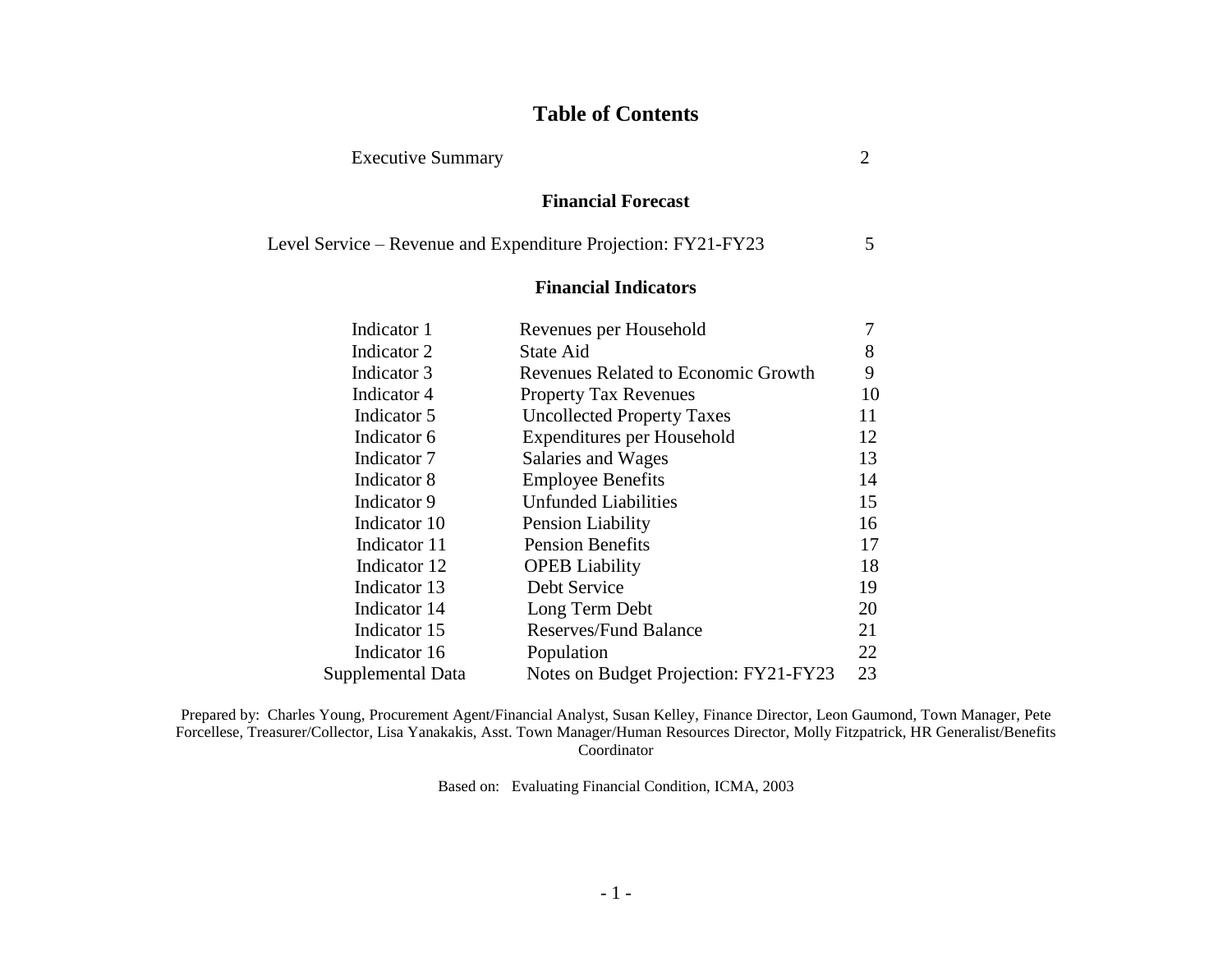# **Table of Contents**

Executive Summary 2

|                   | <b>Financial Forecast</b>                                     |    |
|-------------------|---------------------------------------------------------------|----|
|                   | Level Service – Revenue and Expenditure Projection: FY21-FY23 | 5  |
|                   | <b>Financial Indicators</b>                                   |    |
| Indicator 1       | Revenues per Household                                        | 7  |
| Indicator 2       | State Aid                                                     | 8  |
| Indicator 3       | <b>Revenues Related to Economic Growth</b>                    | 9  |
| Indicator 4       | <b>Property Tax Revenues</b>                                  | 10 |
| Indicator 5       | <b>Uncollected Property Taxes</b>                             | 11 |
| Indicator 6       | Expenditures per Household                                    | 12 |
| Indicator 7       | Salaries and Wages                                            | 13 |
| Indicator 8       | <b>Employee Benefits</b>                                      | 14 |
| Indicator 9       | <b>Unfunded Liabilities</b>                                   | 15 |
| Indicator 10      | <b>Pension Liability</b>                                      | 16 |
| Indicator 11      | <b>Pension Benefits</b>                                       | 17 |
| Indicator 12      | <b>OPEB</b> Liability                                         | 18 |
| Indicator 13      | Debt Service                                                  | 19 |
| Indicator 14      | Long Term Debt                                                | 20 |
| Indicator 15      | <b>Reserves/Fund Balance</b>                                  | 21 |
| Indicator 16      | Population                                                    | 22 |
| Supplemental Data | Notes on Budget Projection: FY21-FY23                         | 23 |

Prepared by: Charles Young, Procurement Agent/Financial Analyst, Susan Kelley, Finance Director, Leon Gaumond, Town Manager, Pete Forcellese, Treasurer/Collector, Lisa Yanakakis, Asst. Town Manager/Human Resources Director, Molly Fitzpatrick, HR Generalist/Benefits Coordinator

Based on: Evaluating Financial Condition, ICMA, 2003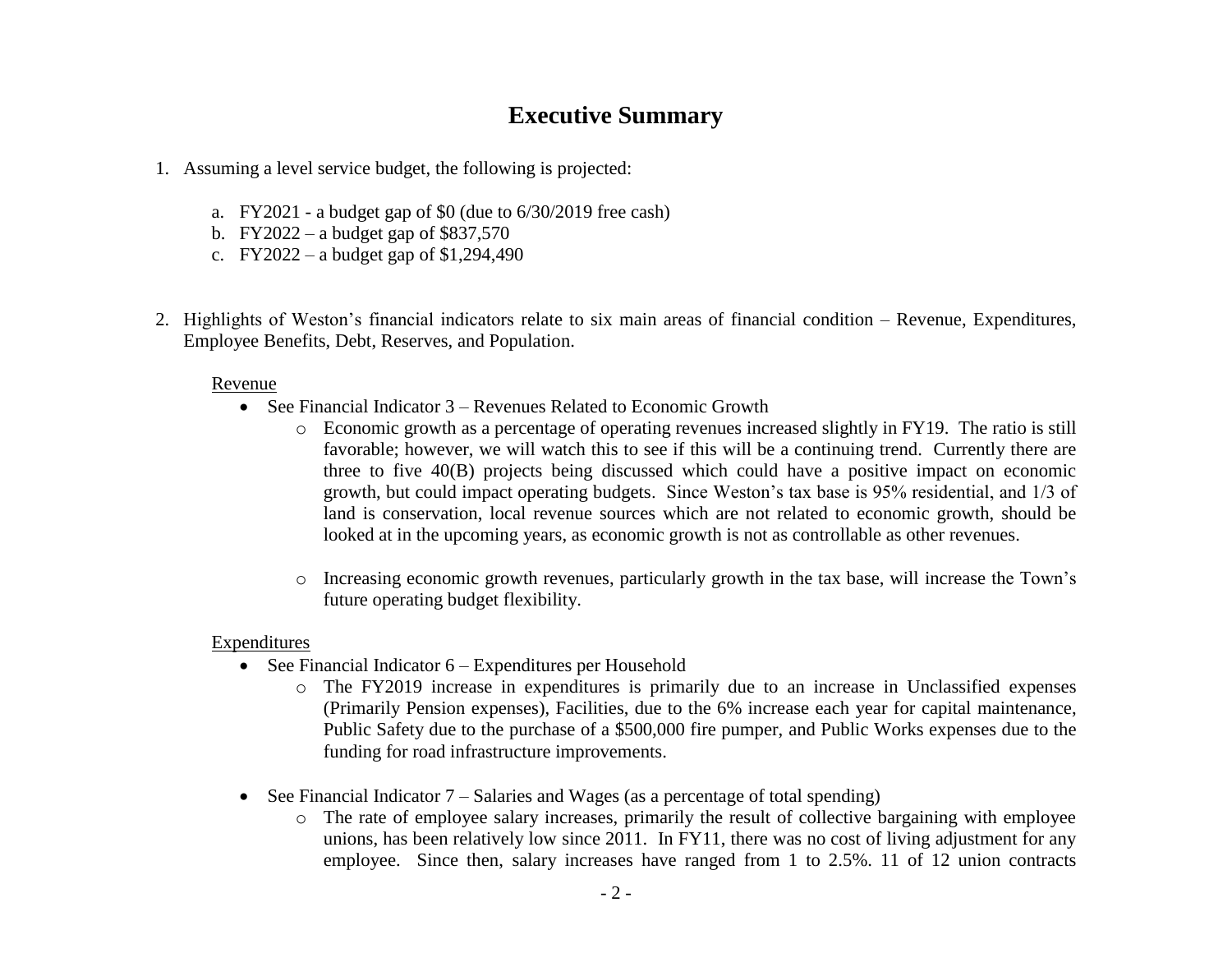# **Executive Summary**

- 1. Assuming a level service budget, the following is projected:
	- a. FY2021 a budget gap of \$0 (due to 6/30/2019 free cash)
	- b. FY2022 a budget gap of \$837,570
	- c. FY2022 a budget gap of \$1,294,490
- 2. Highlights of Weston's financial indicators relate to six main areas of financial condition Revenue, Expenditures, Employee Benefits, Debt, Reserves, and Population.

### Revenue

- See Financial Indicator 3 Revenues Related to Economic Growth
	- o Economic growth as a percentage of operating revenues increased slightly in FY19. The ratio is still favorable; however, we will watch this to see if this will be a continuing trend. Currently there are three to five 40(B) projects being discussed which could have a positive impact on economic growth, but could impact operating budgets. Since Weston's tax base is 95% residential, and 1/3 of land is conservation, local revenue sources which are not related to economic growth, should be looked at in the upcoming years, as economic growth is not as controllable as other revenues.
	- o Increasing economic growth revenues, particularly growth in the tax base, will increase the Town's future operating budget flexibility.

### Expenditures

- See Financial Indicator 6 Expenditures per Household
	- o The FY2019 increase in expenditures is primarily due to an increase in Unclassified expenses (Primarily Pension expenses), Facilities, due to the 6% increase each year for capital maintenance, Public Safety due to the purchase of a \$500,000 fire pumper, and Public Works expenses due to the funding for road infrastructure improvements.
- See Financial Indicator  $7 -$  Salaries and Wages (as a percentage of total spending)
	- o The rate of employee salary increases, primarily the result of collective bargaining with employee unions, has been relatively low since 2011. In FY11, there was no cost of living adjustment for any employee. Since then, salary increases have ranged from 1 to 2.5%. 11 of 12 union contracts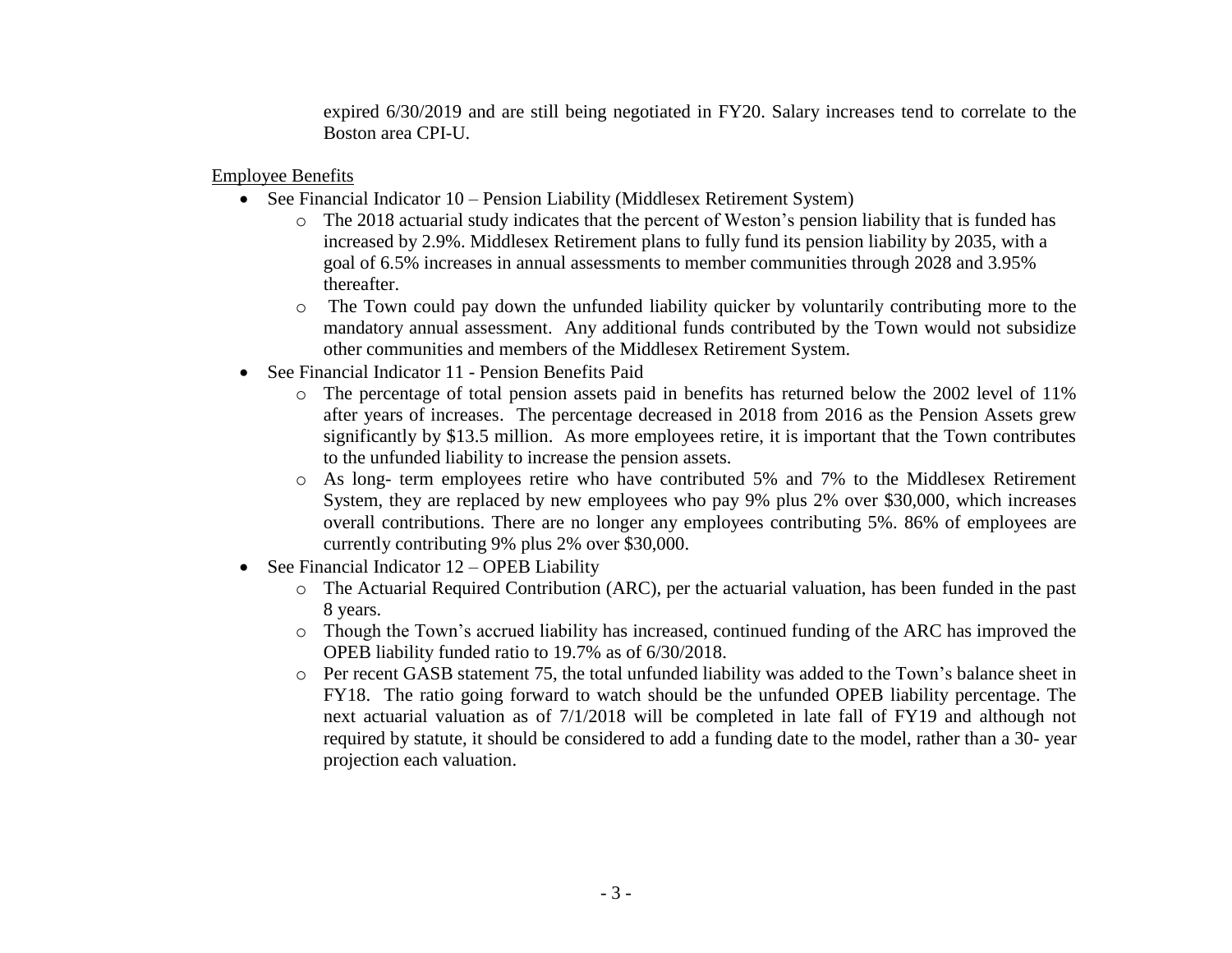expired 6/30/2019 and are still being negotiated in FY20. Salary increases tend to correlate to the Boston area CPI-U.

Employee Benefits

- See Financial Indicator 10 Pension Liability (Middlesex Retirement System)
	- $\circ$  The 2018 actuarial study indicates that the percent of Weston's pension liability that is funded has increased by 2.9%. Middlesex Retirement plans to fully fund its pension liability by 2035, with a goal of 6.5% increases in annual assessments to member communities through 2028 and 3.95% thereafter.
	- o The Town could pay down the unfunded liability quicker by voluntarily contributing more to the mandatory annual assessment. Any additional funds contributed by the Town would not subsidize other communities and members of the Middlesex Retirement System.
- See Financial Indicator 11 Pension Benefits Paid
	- o The percentage of total pension assets paid in benefits has returned below the 2002 level of 11% after years of increases. The percentage decreased in 2018 from 2016 as the Pension Assets grew significantly by \$13.5 million. As more employees retire, it is important that the Town contributes to the unfunded liability to increase the pension assets.
	- o As long- term employees retire who have contributed 5% and 7% to the Middlesex Retirement System, they are replaced by new employees who pay 9% plus 2% over \$30,000, which increases overall contributions. There are no longer any employees contributing 5%. 86% of employees are currently contributing 9% plus 2% over \$30,000.
- See Financial Indicator  $12 -$  OPEB Liability
	- o The Actuarial Required Contribution (ARC), per the actuarial valuation, has been funded in the past 8 years.
	- o Though the Town's accrued liability has increased, continued funding of the ARC has improved the OPEB liability funded ratio to 19.7% as of 6/30/2018.
	- o Per recent GASB statement 75, the total unfunded liability was added to the Town's balance sheet in FY18. The ratio going forward to watch should be the unfunded OPEB liability percentage. The next actuarial valuation as of 7/1/2018 will be completed in late fall of FY19 and although not required by statute, it should be considered to add a funding date to the model, rather than a 30- year projection each valuation.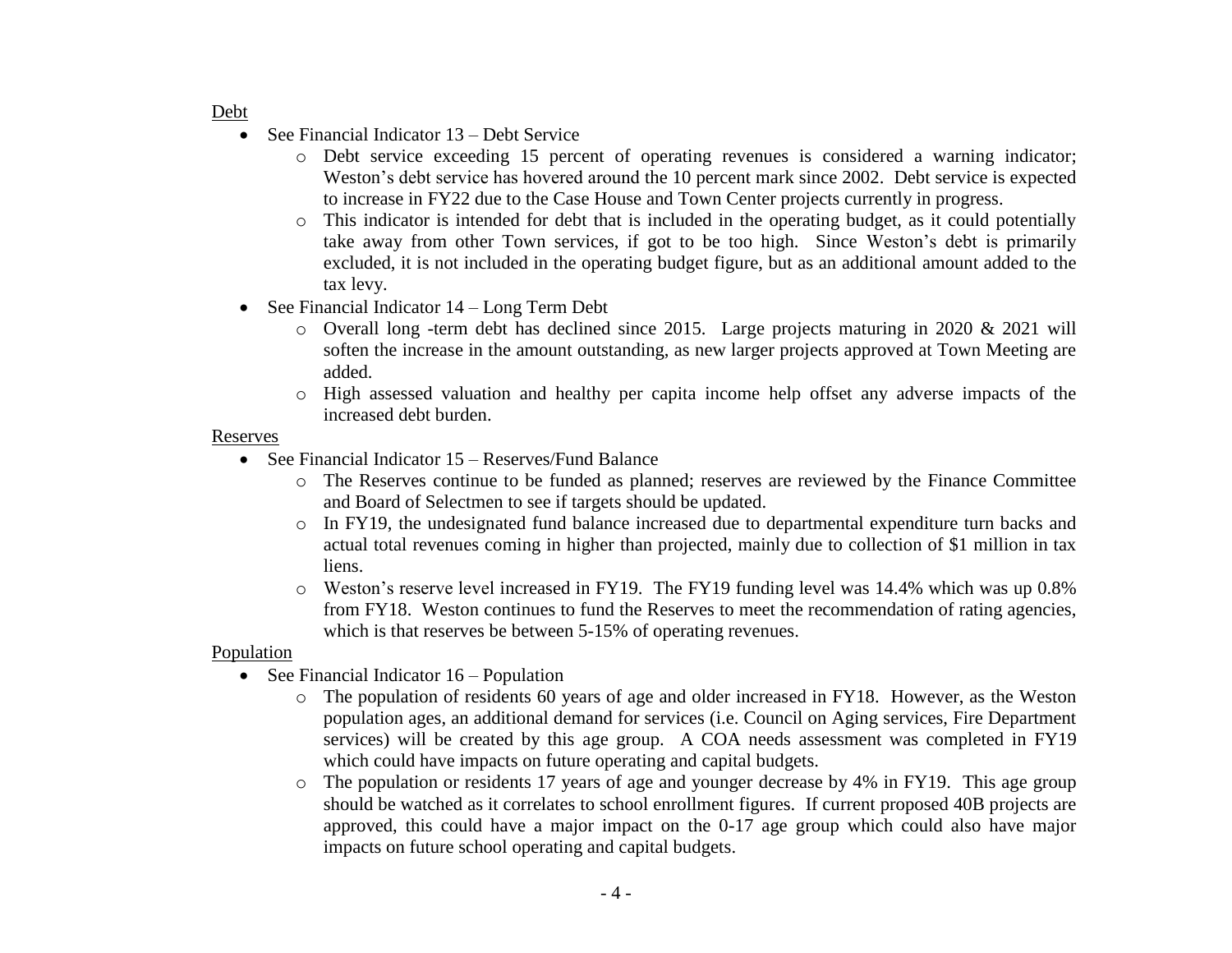#### Debt

- See Financial Indicator 13 Debt Service
	- o Debt service exceeding 15 percent of operating revenues is considered a warning indicator; Weston's debt service has hovered around the 10 percent mark since 2002. Debt service is expected to increase in FY22 due to the Case House and Town Center projects currently in progress.
	- o This indicator is intended for debt that is included in the operating budget, as it could potentially take away from other Town services, if got to be too high. Since Weston's debt is primarily excluded, it is not included in the operating budget figure, but as an additional amount added to the tax levy.
- See Financial Indicator  $14 Long Term$  Debt
	- o Overall long -term debt has declined since 2015. Large projects maturing in 2020 & 2021 will soften the increase in the amount outstanding, as new larger projects approved at Town Meeting are added.
	- o High assessed valuation and healthy per capita income help offset any adverse impacts of the increased debt burden.

### Reserves

- See Financial Indicator 15 Reserves/Fund Balance
	- o The Reserves continue to be funded as planned; reserves are reviewed by the Finance Committee and Board of Selectmen to see if targets should be updated.
	- o In FY19, the undesignated fund balance increased due to departmental expenditure turn backs and actual total revenues coming in higher than projected, mainly due to collection of \$1 million in tax liens.
	- o Weston's reserve level increased in FY19. The FY19 funding level was 14.4% which was up 0.8% from FY18. Weston continues to fund the Reserves to meet the recommendation of rating agencies, which is that reserves be between 5-15% of operating revenues.

### Population

- See Financial Indicator  $16$  Population
	- o The population of residents 60 years of age and older increased in FY18. However, as the Weston population ages, an additional demand for services (i.e. Council on Aging services, Fire Department services) will be created by this age group. A COA needs assessment was completed in FY19 which could have impacts on future operating and capital budgets.
	- o The population or residents 17 years of age and younger decrease by 4% in FY19. This age group should be watched as it correlates to school enrollment figures. If current proposed 40B projects are approved, this could have a major impact on the 0-17 age group which could also have major impacts on future school operating and capital budgets.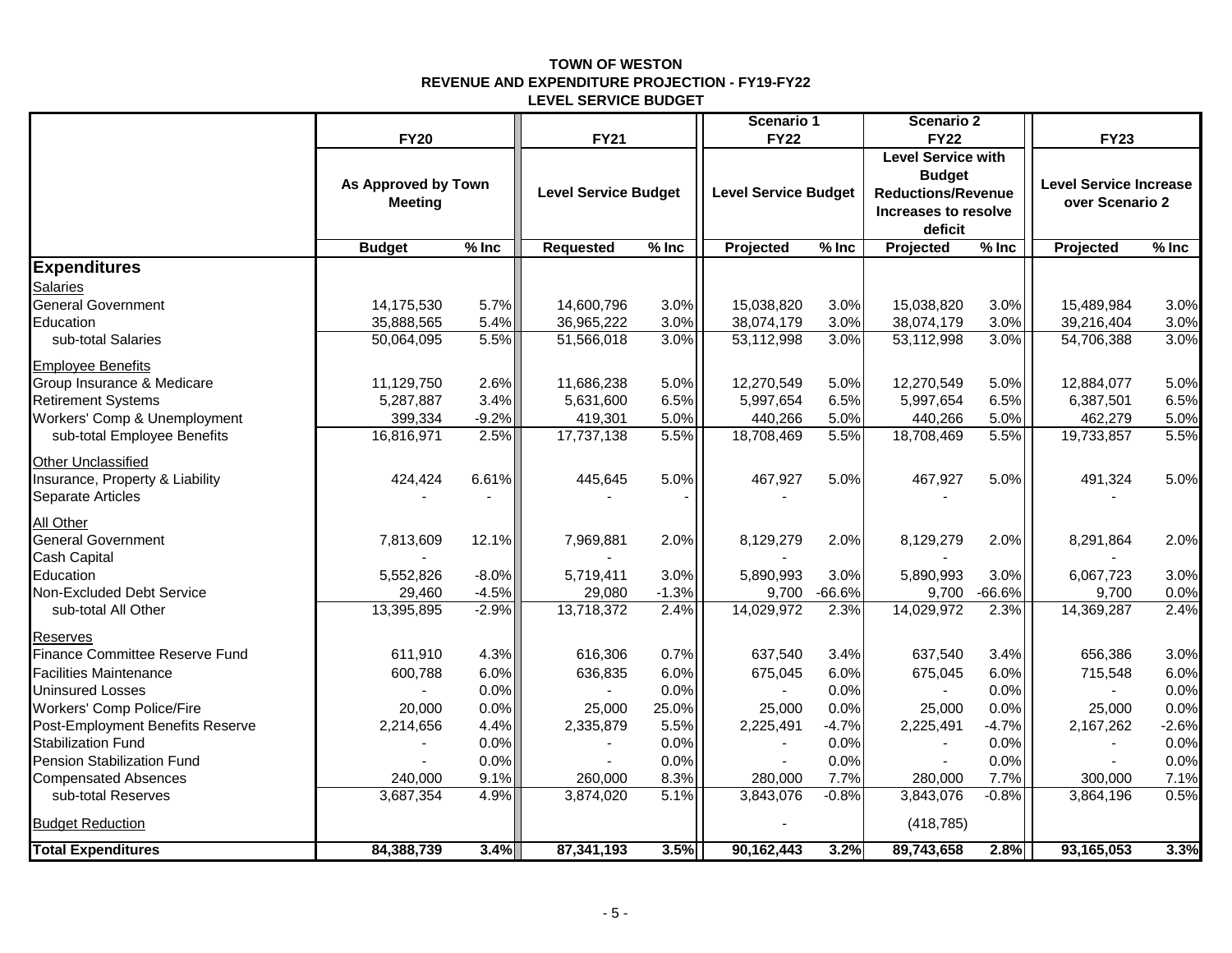#### **TOWN OF WESTON REVENUE AND EXPENDITURE PROJECTION - FY19-FY22 LEVEL SERVICE BUDGET**

|                                       |                     |         |                             |         | Scenario 1                  |          | Scenario 2                                 |          |                               |         |  |
|---------------------------------------|---------------------|---------|-----------------------------|---------|-----------------------------|----------|--------------------------------------------|----------|-------------------------------|---------|--|
|                                       | <b>FY20</b>         |         | <b>FY21</b>                 |         | <b>FY22</b>                 |          | <b>FY22</b>                                |          | <b>FY23</b>                   |         |  |
|                                       |                     |         |                             |         |                             |          | <b>Level Service with</b><br><b>Budget</b> |          |                               |         |  |
|                                       | As Approved by Town |         | <b>Level Service Budget</b> |         | <b>Level Service Budget</b> |          | <b>Reductions/Revenue</b>                  |          | <b>Level Service Increase</b> |         |  |
|                                       | <b>Meeting</b>      |         |                             |         |                             |          | Increases to resolve                       |          | over Scenario 2               |         |  |
|                                       |                     |         |                             |         |                             |          | deficit                                    |          |                               |         |  |
|                                       | <b>Budget</b>       | $%$ Inc | <b>Requested</b>            | $%$ Inc | Projected                   | $%$ Inc  | Projected                                  | $%$ Inc  | Projected                     | $%$ Inc |  |
| <b>Expenditures</b>                   |                     |         |                             |         |                             |          |                                            |          |                               |         |  |
| <b>Salaries</b>                       |                     |         |                             |         |                             |          |                                            |          |                               |         |  |
| <b>General Government</b>             | 14,175,530          | 5.7%    | 14,600,796                  | 3.0%    | 15,038,820                  | 3.0%     | 15,038,820                                 | 3.0%     | 15,489,984                    | 3.0%    |  |
| Education                             | 35,888,565          | 5.4%    | 36,965,222                  | 3.0%    | 38,074,179                  | 3.0%     | 38,074,179                                 | 3.0%     | 39,216,404                    | 3.0%    |  |
| sub-total Salaries                    | 50,064,095          | 5.5%    | 51,566,018                  | 3.0%    | 53,112,998                  | 3.0%     | 53,112,998                                 | 3.0%     | 54,706,388                    | 3.0%    |  |
| <b>Employee Benefits</b>              |                     |         |                             |         |                             |          |                                            |          |                               |         |  |
| Group Insurance & Medicare            | 11,129,750          | 2.6%    | 11,686,238                  | 5.0%    | 12,270,549                  | 5.0%     | 12,270,549                                 | 5.0%     | 12,884,077                    | 5.0%    |  |
| <b>Retirement Systems</b>             | 5,287,887           | 3.4%    | 5,631,600                   | 6.5%    | 5,997,654                   | 6.5%     | 5,997,654                                  | 6.5%     | 6,387,501                     | 6.5%    |  |
| Workers' Comp & Unemployment          | 399,334             | $-9.2%$ | 419,301                     | 5.0%    | 440,266                     | 5.0%     | 440,266                                    | 5.0%     | 462,279                       | 5.0%    |  |
| sub-total Employee Benefits           | 16,816,971          | 2.5%    | 17,737,138                  | 5.5%    | 18,708,469                  | 5.5%     | 18,708,469                                 | 5.5%     | 19,733,857                    | 5.5%    |  |
| <b>Other Unclassified</b>             |                     |         |                             |         |                             |          |                                            |          |                               |         |  |
| Insurance, Property & Liability       | 424,424             | 6.61%   | 445,645                     | 5.0%    | 467,927                     | 5.0%     | 467,927                                    | 5.0%     | 491,324                       | 5.0%    |  |
| Separate Articles                     |                     |         |                             |         |                             |          |                                            |          |                               |         |  |
| All Other                             |                     |         |                             |         |                             |          |                                            |          |                               |         |  |
| <b>General Government</b>             | 7,813,609           | 12.1%   | 7,969,881                   | 2.0%    | 8,129,279                   | 2.0%     | 8,129,279                                  | 2.0%     | 8,291,864                     | 2.0%    |  |
| Cash Capital                          |                     |         |                             |         |                             |          |                                            |          |                               |         |  |
| Education                             | 5,552,826           | $-8.0%$ | 5,719,411                   | 3.0%    | 5,890,993                   | 3.0%     | 5,890,993                                  | 3.0%     | 6,067,723                     | 3.0%    |  |
| Non-Excluded Debt Service             | 29,460              | $-4.5%$ | 29,080                      | $-1.3%$ | 9,700                       | $-66.6%$ | 9,700                                      | $-66.6%$ | 9,700                         | 0.0%    |  |
| sub-total All Other                   | 13,395,895          | $-2.9%$ | 13,718,372                  | 2.4%    | 14,029,972                  | 2.3%     | 14,029,972                                 | 2.3%     | 14,369,287                    | 2.4%    |  |
| Reserves                              |                     |         |                             |         |                             |          |                                            |          |                               |         |  |
| <b>Finance Committee Reserve Fund</b> | 611,910             | 4.3%    | 616,306                     | 0.7%    | 637,540                     | 3.4%     | 637,540                                    | 3.4%     | 656,386                       | 3.0%    |  |
| <b>Facilities Maintenance</b>         | 600,788             | 6.0%    | 636,835                     | 6.0%    | 675,045                     | 6.0%     | 675,045                                    | 6.0%     | 715,548                       | 6.0%    |  |
| <b>Uninsured Losses</b>               |                     | 0.0%    |                             | 0.0%    |                             | 0.0%     |                                            | 0.0%     |                               | 0.0%    |  |
| Workers' Comp Police/Fire             | 20,000              | 0.0%    | 25,000                      | 25.0%   | 25,000                      | 0.0%     | 25,000                                     | 0.0%     | 25,000                        | 0.0%    |  |
| Post-Employment Benefits Reserve      | 2,214,656           | 4.4%    | 2,335,879                   | 5.5%    | 2,225,491                   | $-4.7%$  | 2,225,491                                  | $-4.7%$  | 2,167,262                     | $-2.6%$ |  |
| <b>Stabilization Fund</b>             |                     | 0.0%    |                             | 0.0%    |                             | 0.0%     |                                            | 0.0%     |                               | 0.0%    |  |
| Pension Stabilization Fund            |                     | 0.0%    |                             | 0.0%    | $\blacksquare$              | 0.0%     |                                            | 0.0%     |                               | 0.0%    |  |
| <b>Compensated Absences</b>           | 240,000             | 9.1%    | 260,000                     | 8.3%    | 280,000                     | 7.7%     | 280,000                                    | 7.7%     | 300,000                       | 7.1%    |  |
| sub-total Reserves                    | 3,687,354           | 4.9%    | 3,874,020                   | 5.1%    | 3,843,076                   | $-0.8%$  | 3,843,076                                  | $-0.8%$  | 3,864,196                     | 0.5%    |  |
| <b>Budget Reduction</b>               |                     |         |                             |         |                             |          | (418, 785)                                 |          |                               |         |  |
| <b>Total Expenditures</b>             | 84,388,739          | 3.4%    | 87,341,193                  | 3.5%    | 90,162,443                  | 3.2%     | 89,743,658                                 | 2.8%     | 93,165,053                    | 3.3%    |  |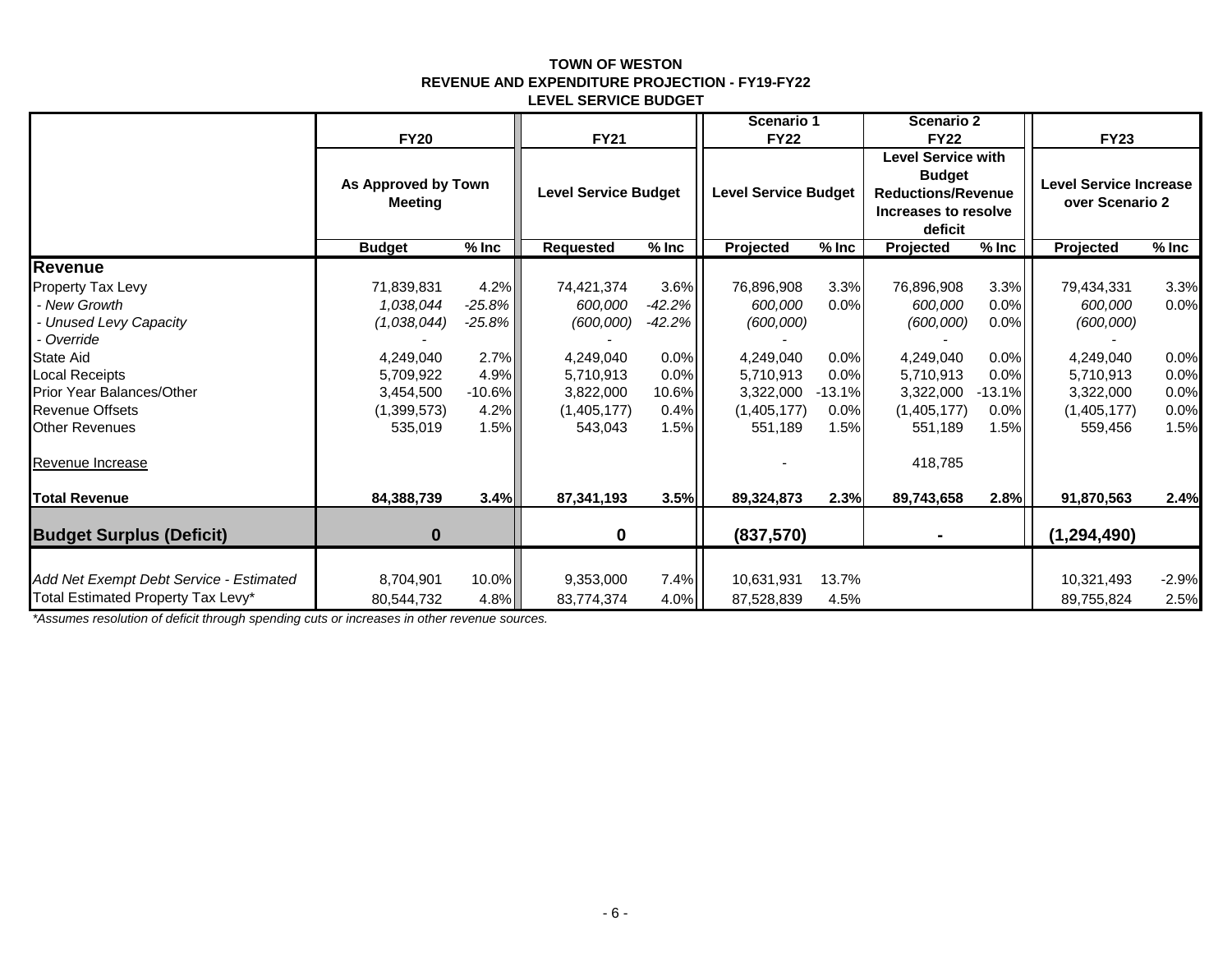#### **TOWN OF WESTON REVENUE AND EXPENDITURE PROJECTION - FY19-FY22 LEVEL SERVICE BUDGET**

|                                         |                                       |           |                                                                                                                                                                          |          | Scenario 1  |                                                  | <b>Scenario 2</b> |         |               |             |
|-----------------------------------------|---------------------------------------|-----------|--------------------------------------------------------------------------------------------------------------------------------------------------------------------------|----------|-------------|--------------------------------------------------|-------------------|---------|---------------|-------------|
|                                         | <b>FY20</b>                           |           | <b>FY21</b>                                                                                                                                                              |          | <b>FY22</b> |                                                  | <b>FY22</b>       |         | <b>FY23</b>   |             |
|                                         | As Approved by Town<br><b>Meeting</b> |           | <b>Level Service with</b><br><b>Budget</b><br><b>Level Service Budget</b><br><b>Level Service Budget</b><br><b>Reductions/Revenue</b><br>Increases to resolve<br>deficit |          |             | <b>Level Service Increase</b><br>over Scenario 2 |                   |         |               |             |
|                                         | <b>Budget</b>                         | $%$ Inc   | <b>Requested</b>                                                                                                                                                         | $%$ Inc  | Projected   | $%$ Inc                                          | Projected         | $%$ Inc | Projected     | $%$ Inc $%$ |
| <b>Revenue</b>                          |                                       |           |                                                                                                                                                                          |          |             |                                                  |                   |         |               |             |
| <b>Property Tax Levy</b>                | 71,839,831                            | 4.2%      | 74,421,374                                                                                                                                                               | 3.6%     | 76,896,908  | 3.3%                                             | 76,896,908        | 3.3%    | 79,434,331    | 3.3%        |
| - New Growth                            | 1,038,044                             | $-25.8\%$ | 600,000                                                                                                                                                                  | $-42.2%$ | 600,000     | 0.0%                                             | 600,000           | 0.0%    | 600,000       | 0.0%        |
| <b>Unused Levy Capacity</b>             | (1,038,044)                           | $-25.8\%$ | (600,000)                                                                                                                                                                | $-42.2%$ | (600,000)   |                                                  | (600,000)         | 0.0%    | (600,000)     |             |
| - Override                              |                                       |           |                                                                                                                                                                          |          |             |                                                  |                   |         |               |             |
| <b>State Aid</b>                        | 4,249,040                             | 2.7%      | 4,249,040                                                                                                                                                                | 0.0%     | 4,249,040   | 0.0%                                             | 4,249,040         | 0.0%    | 4,249,040     | 0.0%        |
| <b>Local Receipts</b>                   | 5,709,922                             | 4.9%      | 5,710,913                                                                                                                                                                | 0.0%     | 5,710,913   | 0.0%                                             | 5,710,913         | 0.0%    | 5,710,913     | 0.0%        |
| <b>Prior Year Balances/Other</b>        | 3,454,500                             | $-10.6\%$ | 3,822,000                                                                                                                                                                | 10.6%    | 3,322,000   | $-13.1%$                                         | 3,322,000         | -13.1%  | 3,322,000     | 0.0%        |
| <b>Revenue Offsets</b>                  | (1,399,573)                           | 4.2%      | (1,405,177)                                                                                                                                                              | 0.4%     | (1,405,177) | 0.0%                                             | (1,405,177)       | 0.0%    | (1,405,177)   | 0.0%        |
| <b>Other Revenues</b>                   | 535,019                               | 1.5%      | 543,043                                                                                                                                                                  | 1.5%     | 551,189     | 1.5%                                             | 551,189           | 1.5%    | 559,456       | 1.5%        |
| Revenue Increase                        |                                       |           |                                                                                                                                                                          |          |             |                                                  | 418,785           |         |               |             |
| <b>Total Revenue</b>                    | 84,388,739                            | 3.4%      | 87,341,193                                                                                                                                                               | 3.5%     | 89,324,873  | 2.3%                                             | 89,743,658        | 2.8%    | 91,870,563    | 2.4%        |
| <b>Budget Surplus (Deficit)</b>         | 0                                     |           | $\mathbf{0}$                                                                                                                                                             |          | (837,570)   |                                                  | ٠                 |         | (1, 294, 490) |             |
|                                         |                                       |           |                                                                                                                                                                          |          |             |                                                  |                   |         |               |             |
| Add Net Exempt Debt Service - Estimated | 8,704,901                             | 10.0%     | 9,353,000                                                                                                                                                                | 7.4%     | 10,631,931  | 13.7%                                            |                   |         | 10,321,493    | $-2.9%$     |
| Total Estimated Property Tax Levy*      | 80,544,732                            | $4.8\%$   | 83,774,374                                                                                                                                                               | 4.0%     | 87,528,839  | 4.5%                                             |                   |         | 89,755,824    | 2.5%        |

*\*Assumes resolution of deficit through spending cuts or increases in other revenue sources.*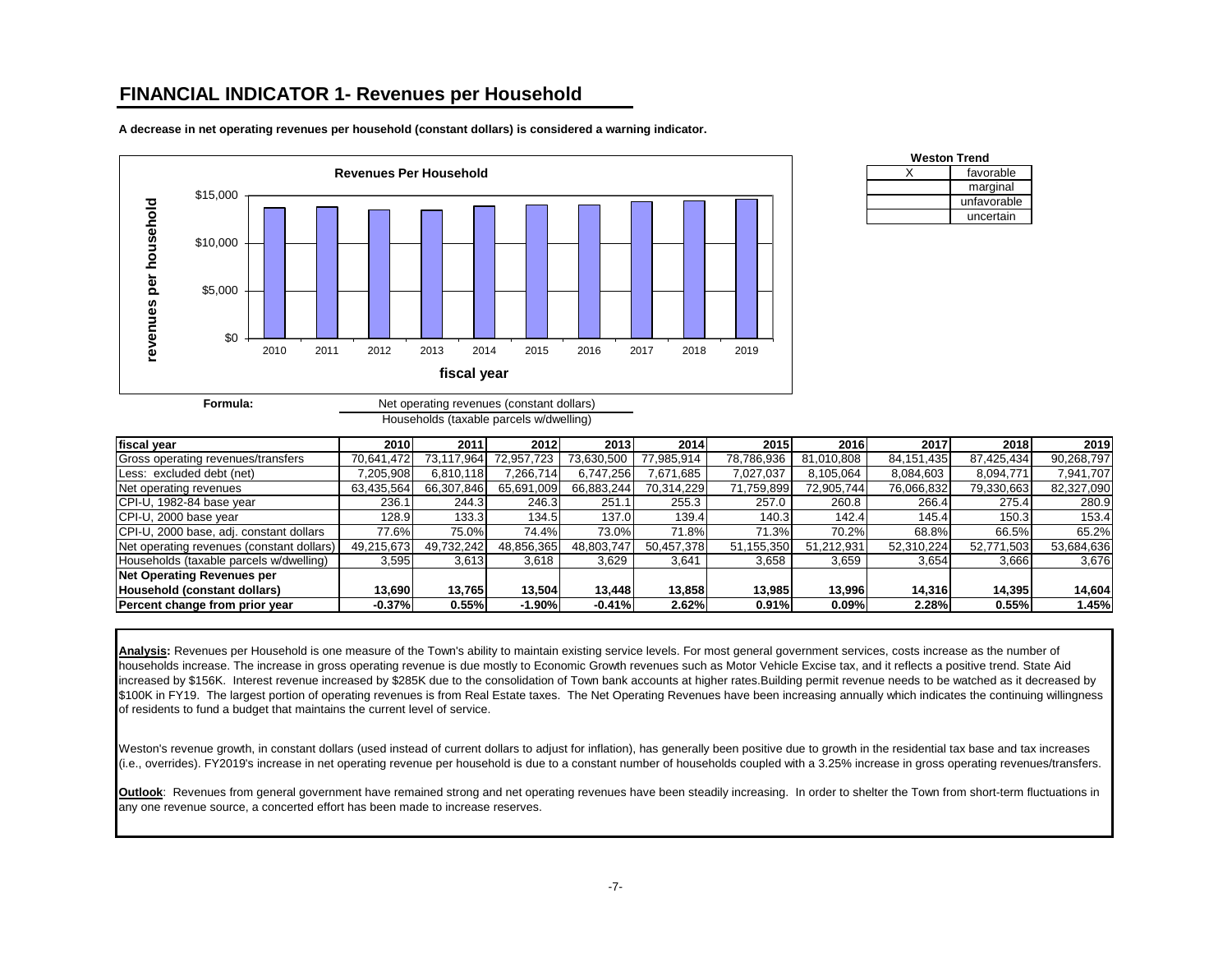### **FINANCIAL INDICATOR 1- Revenues per Household**



**A decrease in net operating revenues per household (constant dollars) is considered a warning indicator.**

| <b>Weston Trend</b> |             |  |  |  |  |  |  |  |
|---------------------|-------------|--|--|--|--|--|--|--|
|                     | favorable   |  |  |  |  |  |  |  |
|                     | marginal    |  |  |  |  |  |  |  |
|                     | unfavorable |  |  |  |  |  |  |  |
|                     | uncertain   |  |  |  |  |  |  |  |

| rmula: | Net operating revenues (constant dollars) |
|--------|-------------------------------------------|
|        | Households (taxable parcels w/dwelling)   |

| fiscal year                               | 2010       | 2011       | 2012       | 2013       | 2014       | 2015       | 2016       | 2017       | 2018       | 2019       |
|-------------------------------------------|------------|------------|------------|------------|------------|------------|------------|------------|------------|------------|
| Gross operating revenues/transfers        | 70.641.472 | 73.117.964 | 72,957,723 | 73,630,500 | 77,985,914 | 78.786.936 | 81.010.808 | 84,151,435 | 87,425,434 | 90,268,797 |
| Less: excluded debt (net)                 | ,205,908   | 6,810,118  | 266.714    | 6.747.256  | 671,685"   | 7.027.037  | 8,105,064  | 8,084,603  | 8,094,771  | 7,941,707  |
| Net operating revenues                    | 63,435,564 | 66,307,846 | 65,691,009 | 66,883,244 | 70,314,229 | 71,759,899 | 72,905,744 | 76,066,832 | 79,330,663 | 82,327,090 |
| CPI-U, 1982-84 base year                  | 236.1      | 244.3      | 246.3      | 251.1      | 255.3      | 257.0      | 260.8      | 266.4      | 275.4      | 280.9      |
| CPI-U, 2000 base year                     | 128.9      | 133.3      | 134.5      | 137.0      | 139.4      | 140.3      | 142.4      | 145.4      | 150.3      | 153.4      |
| CPI-U, 2000 base, adj. constant dollars   | 77.6%      | 75.0%      | 74.4%      | 73.0%      | 71.8%      | 71.3%      | 70.2%      | 68.8%      | 66.5%      | 65.2%      |
| Net operating revenues (constant dollars) | 49,215,673 | 49,732,242 | 48,856,365 | 48,803,747 | 50,457,378 | 51,155,350 | 51,212,931 | 52,310,224 | 52,771,503 | 53,684,636 |
| Households (taxable parcels w/dwelling)   | 3,595      | 3,613      | 3,618      | 3,629      | 3,641      | 3,658      | 3,659      | 3,654      | 3,666      | 3,676      |
| <b>Net Operating Revenues per</b>         |            |            |            |            |            |            |            |            |            |            |
| Household (constant dollars)              | 13.690     | 13,765     | 13.504     | 13.448     | 13,858     | 13.985     | 13.996     | 14.316     | 14,395     | 14,604     |
| Percent change from prior year            | $-0.37%$   | 0.55%      | $-1.90%$   | $-0.41%$   | 2.62%      | 0.91%      | 0.09%      | 2.28%      | 0.55%      | 1.45%      |

Analysis: Revenues per Household is one measure of the Town's ability to maintain existing service levels. For most general government services, costs increase as the number of households increase. The increase in gross operating revenue is due mostly to Economic Growth revenues such as Motor Vehicle Excise tax, and it reflects a positive trend. State Aid increased by \$156K. Interest revenue increased by \$285K due to the consolidation of Town bank accounts at higher rates.Building permit revenue needs to be watched as it decreased by \$100K in FY19. The largest portion of operating revenues is from Real Estate taxes. The Net Operating Revenues have been increasing annually which indicates the continuing willingness of residents to fund a budget that maintains the current level of service.

Weston's revenue growth, in constant dollars (used instead of current dollars to adjust for inflation), has generally been positive due to growth in the residential tax base and tax increases (i.e., overrides). FY2019's increase in net operating revenue per household is due to a constant number of households coupled with a 3.25% increase in gross operating revenues/transfers.

**Outlook**: Revenues from general government have remained strong and net operating revenues have been steadily increasing. In order to shelter the Town from short-term fluctuations in any one revenue source, a concerted effort has been made to increase reserves.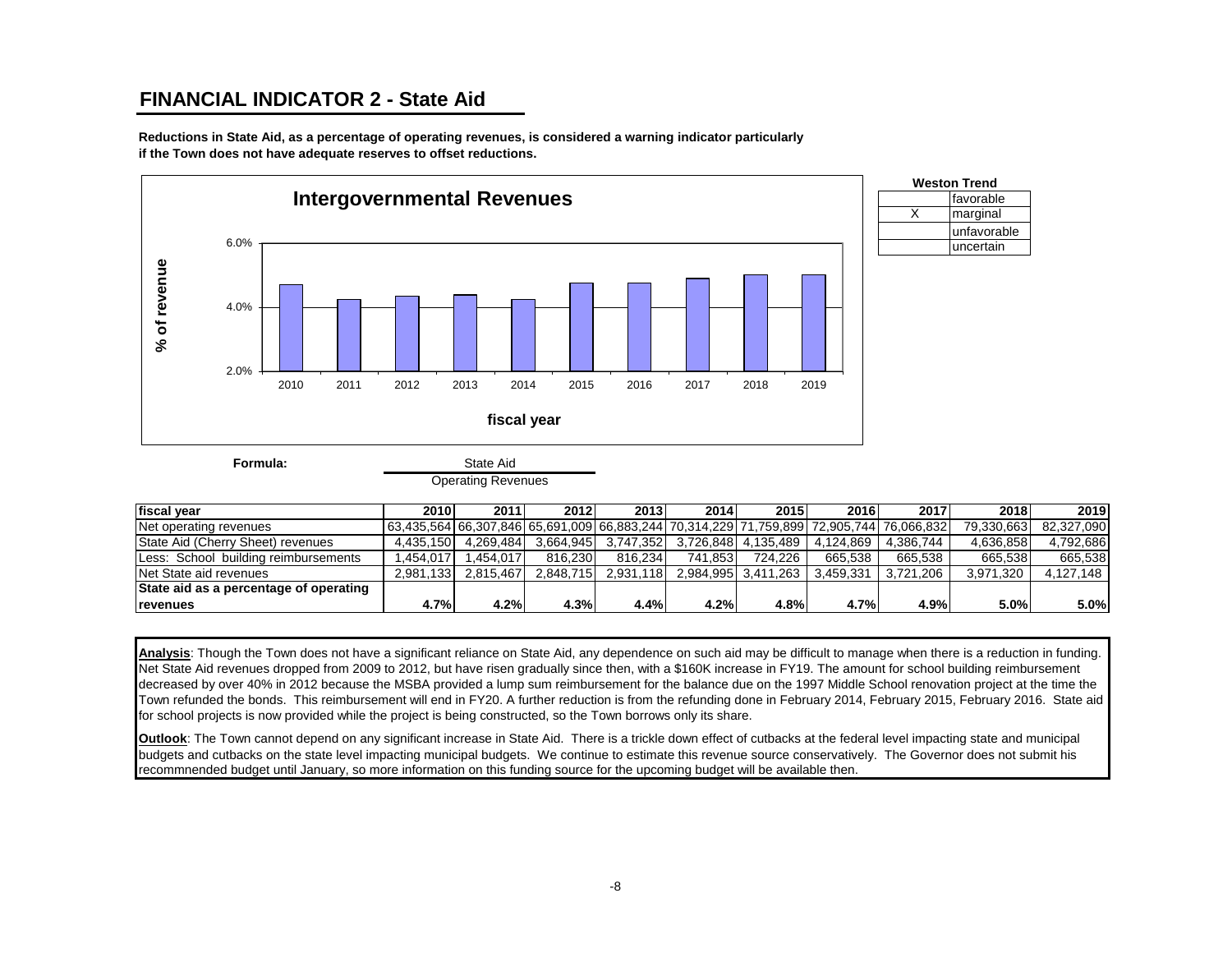# **FINANCIAL INDICATOR 2 - State Aid**

**Reductions in State Aid, as a percentage of operating revenues, is considered a warning indicator particularly if the Town does not have adequate reserves to offset reductions.**





**Formula:**

#### State Aid Operating Revenues

| fiscal vear                            | 2010      | 2011      | 2012      | 2013      | 2014       | 2015                | 2016      | 2017                                                                                    | 2018       | 2019       |
|----------------------------------------|-----------|-----------|-----------|-----------|------------|---------------------|-----------|-----------------------------------------------------------------------------------------|------------|------------|
| Net operating revenues                 |           |           |           |           |            |                     |           | 63.435.564 66.307.846 65.691.009 66.883.244 70.314.229 71.759.899 72.905.744 76.066.832 | 79.330.663 | 82.327.090 |
| State Aid (Cherry Sheet) revenues      | 4.435.150 | 4.269.484 | 3.664.945 | 3.747.352 | 3.726.848l | 4.135.489           | 4.124.869 | 4.386.744                                                                               | 4.636.858  | 4.792.686  |
| Less: School building reimbursements   | .454.017  | .454.017  | 816.230   | 816.234   | 741.853    | 724.226             | 665.538   | 665.538                                                                                 | 665.538    | 665.538    |
| Net State aid revenues                 | 2.981.133 | 2.815.467 | 2.848.715 | 2.931.118 |            | 2.984.995 3.411.263 | 3.459.331 | 3.721.206                                                                               | 3.971.320  | 4.127.148  |
| State aid as a percentage of operating |           |           |           |           |            |                     |           |                                                                                         |            |            |
| <b>revenues</b>                        | 4.7%      | 4.2%      | 4.3%      | 4.4%      | 4.2%       | 4.8%                | 4.7%      | 4.9%                                                                                    | 5.0%       | 5.0%       |

**Analysis**: Though the Town does not have a significant reliance on State Aid, any dependence on such aid may be difficult to manage when there is a reduction in funding. Net State Aid revenues dropped from 2009 to 2012, but have risen gradually since then, with a \$160K increase in FY19. The amount for school building reimbursement decreased by over 40% in 2012 because the MSBA provided a lump sum reimbursement for the balance due on the 1997 Middle School renovation project at the time the Town refunded the bonds. This reimbursement will end in FY20. A further reduction is from the refunding done in February 2014, February 2015, February 2016. State aid for school projects is now provided while the project is being constructed, so the Town borrows only its share.

**Outlook**: The Town cannot depend on any significant increase in State Aid. There is a trickle down effect of cutbacks at the federal level impacting state and municipal budgets and cutbacks on the state level impacting municipal budgets. We continue to estimate this revenue source conservatively. The Governor does not submit his recommnended budget until January, so more information on this funding source for the upcoming budget will be available then.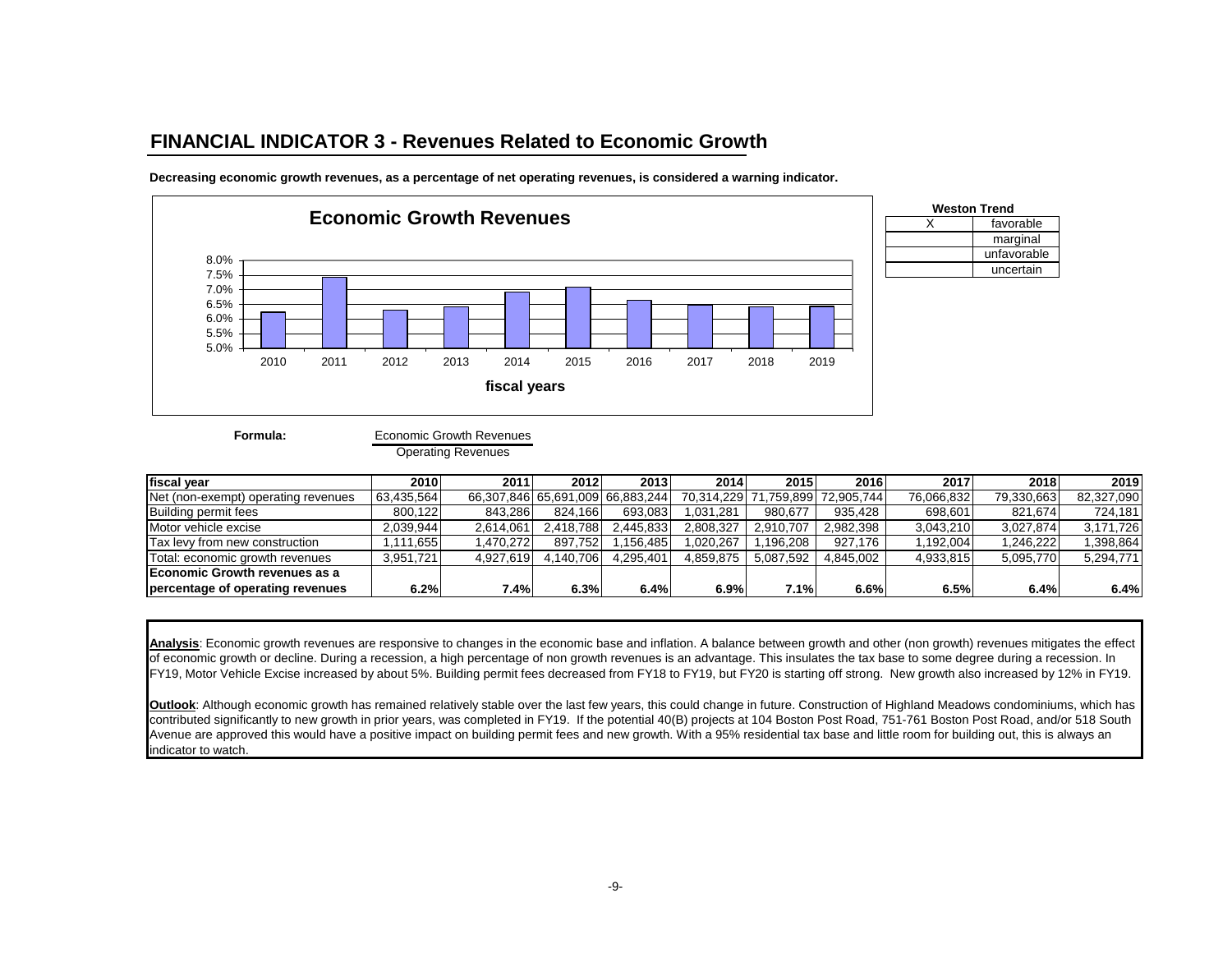### **FINANCIAL INDICATOR 3 - Revenues Related to Economic Growth**



**Decreasing economic growth revenues, as a percentage of net operating revenues, is considered a warning indicator.**



Economic Growth Revenues Operating Revenues

| fiscal year                         | 2010       | 2011      | 2012      | 2013                             | 2014      | 2015                  | 2016       | 2017       | 2018       | 2019       |
|-------------------------------------|------------|-----------|-----------|----------------------------------|-----------|-----------------------|------------|------------|------------|------------|
| Net (non-exempt) operating revenues | 63,435,564 |           |           | 66,307,846 65,691,009 66,883,244 |           | 70.314.229 71.759.899 | 72.905.744 | 76.066.832 | 79,330,663 | 82,327,090 |
| Building permit fees                | 800.122    | 843.286   | 824.166   | 693.083                          | 1.031.281 | 980.677               | 935,428    | 698.601    | 821.674    | 724,181    |
| Motor vehicle excise                | 2.039.944  | 2.614.061 | 2.418.788 | 2.445.833                        | 2,808,327 | 2.910.707             | 2.982.398  | 3.043.210  | 3.027.874  | 3,171,726  |
| Tax levy from new construction      | .111.655   | .470.272  | 897.752   | .156.485                         | 1.020.267 | .196.208              | 927.176    | .192.004   | .246.222   | ,398,864   |
| Total: economic growth revenues     | 3.951.721  | 4.927.619 | 4.140.706 | 4.295.401                        | 4.859.875 | 5.087.592             | 4.845.002  | 4,933,815  | 5.095.770  | 5,294,771  |
| Economic Growth revenues as a       |            |           |           |                                  |           |                       |            |            |            |            |
| percentage of operating revenues    | 6.2%       | 7.4%      | 6.3%      | 6.4%                             | 6.9%      | 7.1%                  | 6.6%       | 6.5%       | 6.4%       | 6.4%       |

X favorable

**Weston Trend**

marginal unfavorable uncertain

**Analysis**: Economic growth revenues are responsive to changes in the economic base and inflation. A balance between growth and other (non growth) revenues mitigates the effect of economic growth or decline. During a recession, a high percentage of non growth revenues is an advantage. This insulates the tax base to some degree during a recession. In FY19, Motor Vehicle Excise increased by about 5%. Building permit fees decreased from FY18 to FY19, but FY20 is starting off strong. New growth also increased by 12% in FY19.

**Outlook**: Although economic growth has remained relatively stable over the last few years, this could change in future. Construction of Highland Meadows condominiums, which has contributed significantly to new growth in prior years, was completed in FY19. If the potential 40(B) projects at 104 Boston Post Road, 751-761 Boston Post Road, and/or 518 South Avenue are approved this would have a positive impact on building permit fees and new growth. With a 95% residential tax base and little room for building out, this is always an indicator to watch.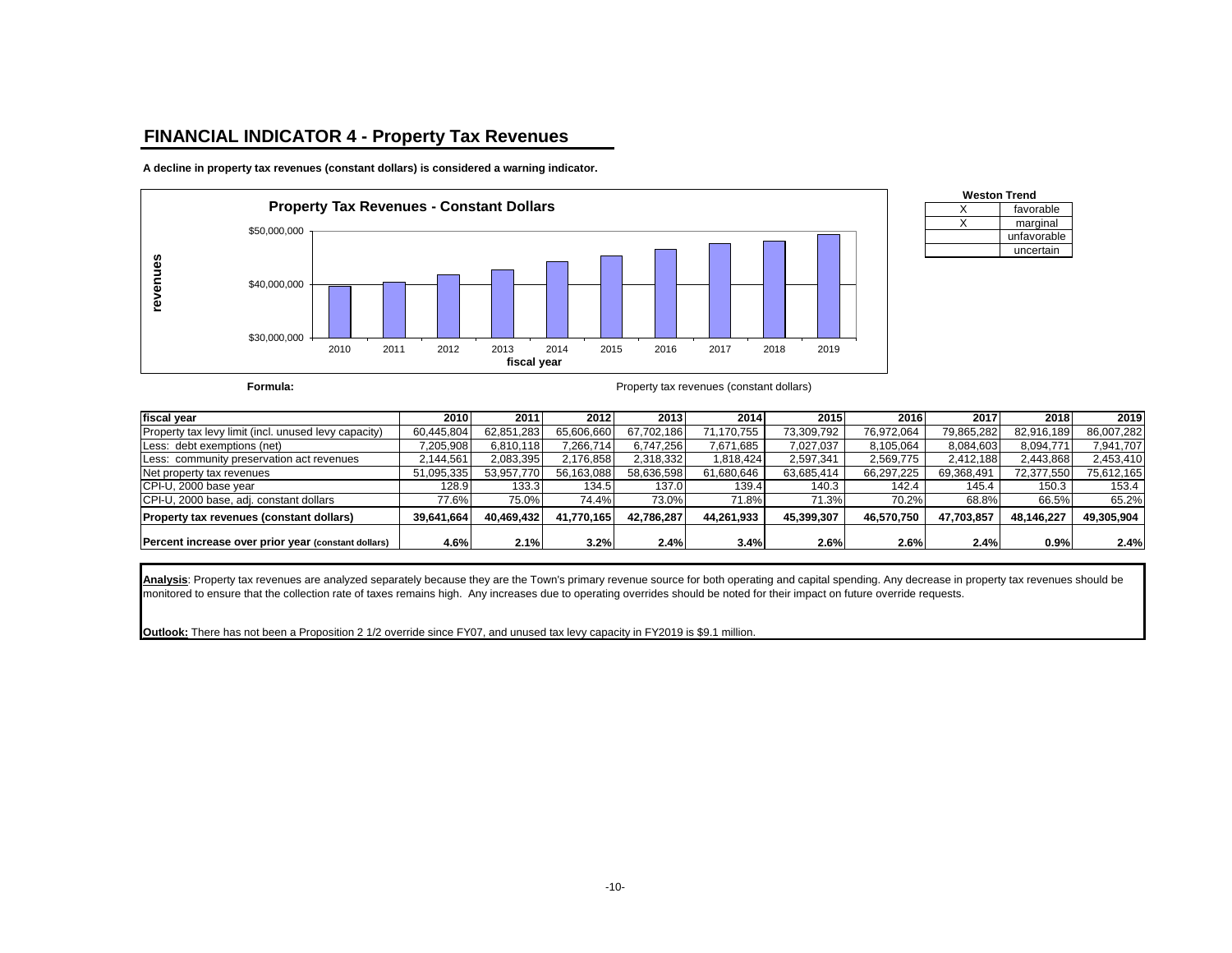### **FINANCIAL INDICATOR 4 - Property Tax Revenues**

**A decline in property tax revenues (constant dollars) is considered a warning indicator.**



| <b>Weston Trend</b> |             |  |  |  |  |  |  |
|---------------------|-------------|--|--|--|--|--|--|
|                     | favorable   |  |  |  |  |  |  |
|                     | marginal    |  |  |  |  |  |  |
|                     | unfavorable |  |  |  |  |  |  |
|                     | uncertain   |  |  |  |  |  |  |

**Formula: Formula: Property tax revenues (constant dollars)** 

| fiscal year                                          | 2010       | 2011               | 2012        | 2013       | 2014       | 2015       | 2016       | 2017       | 2018       | 2019       |
|------------------------------------------------------|------------|--------------------|-------------|------------|------------|------------|------------|------------|------------|------------|
| Property tax levy limit (incl. unused levy capacity) | 60,445,804 | 62,851,283         | 65,606,660  | 67,702,186 | 71,170,755 | 73,309,792 | 76,972,064 | 79,865,282 | 82,916,189 | 86,007,282 |
| Less: debt exemptions (net)                          | 7,205,908  | 6.810.118          | 7.266.714   | 6,747,256  | 7,671,685  | 7,027,037  | 8,105,064  | 8,084,603  | 8,094,771  | 7,941,707  |
| Less: community preservation act revenues            | 2,144,561  | 2,083,395          | 2,176,858   | 2,318,332  | 1.818.424  | 2,597,341  | 2,569,775  | 2.412.188  | 2,443,868  | 2,453,410  |
| Net property tax revenues                            | 51,095,335 | 53,957,770         | 56,163,088  | 58,636,598 | 61,680,646 | 63,685,414 | 66,297,225 | 69,368,491 | 72,377,550 | 75,612,165 |
| CPI-U, 2000 base year                                | 128.9      | 133.3 <sub>1</sub> | 134.5       | 137.0      | 139.4      | 140.3      | 142.4      | 145.4      | 150.3      | 153.4      |
| CPI-U, 2000 base, adj. constant dollars              | 77.6%      | 75.0%              | 74.4%       | 73.0%      | 71.8%      | 71.3%      | 70.2%      | 68.8%      | 66.5%      | 65.2%      |
| <b>Property tax revenues (constant dollars)</b>      | 39.641.664 | 40.469.432         | 41.770.1651 | 42.786.287 | 44.261.933 | 45.399.307 | 46.570.750 | 47.703.857 | 48.146.227 | 49,305,904 |
| Percent increase over prior year (constant dollars)  | 4.6%       | 2.1%               | 3.2%        | 2.4%       | 3.4%       | 2.6%       | 2.6%       | 2.4%       | 0.9%       | 2.4%       |

**Analysis**: Property tax revenues are analyzed separately because they are the Town's primary revenue source for both operating and capital spending. Any decrease in property tax revenues should be monitored to ensure that the collection rate of taxes remains high. Any increases due to operating overrides should be noted for their impact on future override requests.

**Outlook:** There has not been a Proposition 2 1/2 override since FY07, and unused tax levy capacity in FY2019 is \$9.1 million.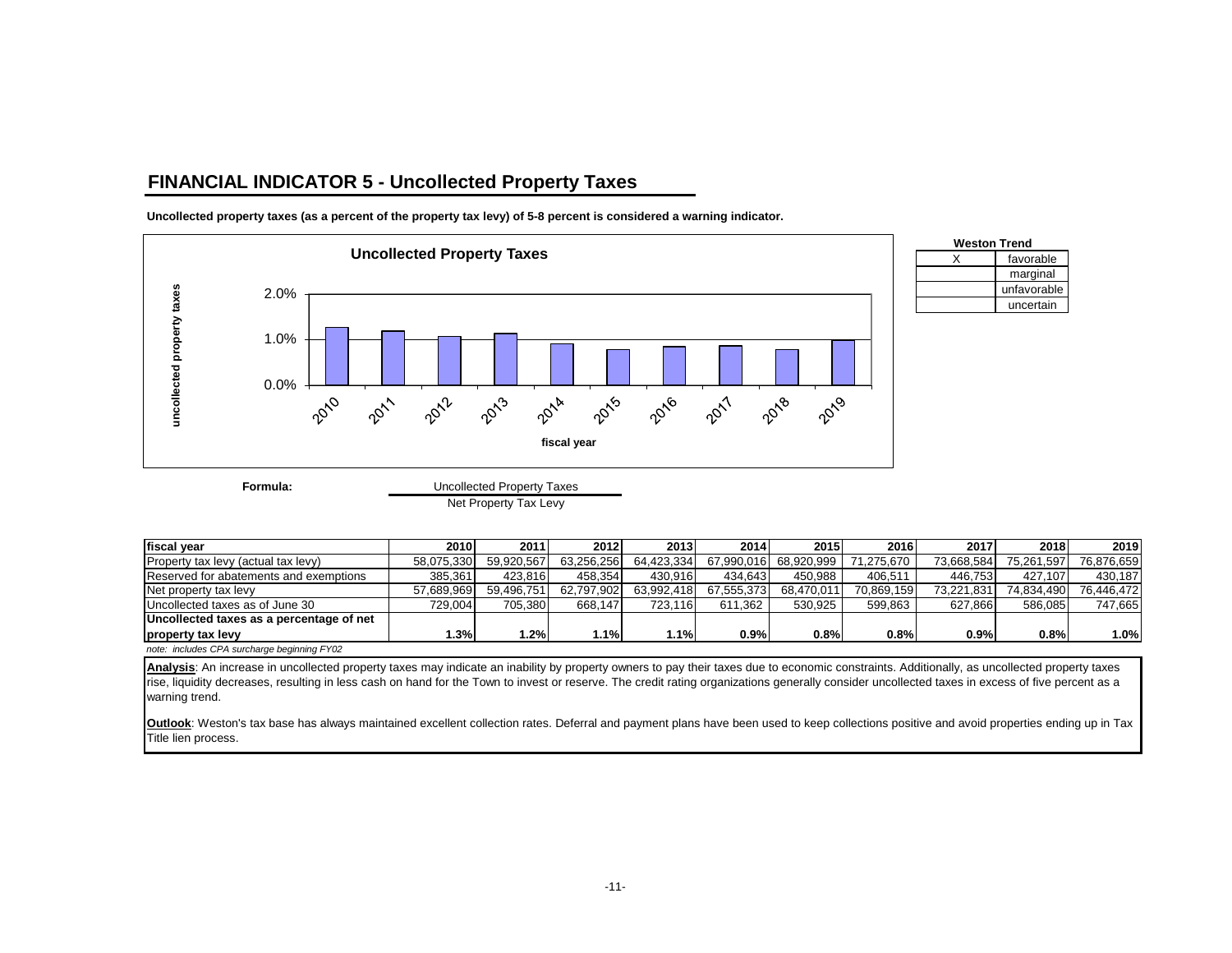### **FINANCIAL INDICATOR 5 - Uncollected Property Taxes**



**Uncollected property taxes (as a percent of the property tax levy) of 5-8 percent is considered a warning indicator.**

Net Property Tax Levy

| fiscal year                                 | 2010       | 2011       | 2012       | 2013       | 2014       | 2015       | 2016       | 2017       | 2018       | 2019       |
|---------------------------------------------|------------|------------|------------|------------|------------|------------|------------|------------|------------|------------|
| Property tax levy (actual tax levy)         | 58.075.330 | 59.920.567 | 63.256.256 | 64,423,334 | 67.990.016 | 68.920.999 | 71.275.670 | 73.668.584 | 75.261.597 | 76.876.659 |
| Reserved for abatements and exemptions      | 385.361    | 423.816    | 458.354    | 430.916    | 434.643    | 450.988    | 406.511    | 446.753    | 427.107    | 430.187    |
| Net property tax levy                       | 57.689.969 | 59.496.751 | 62,797,902 | 63,992,418 | 67.555.373 | 68.470.011 | 70,869,159 | 73.221.831 | 74,834,490 | 76.446.472 |
| Uncollected taxes as of June 30             | 729.004    | 705.380    | 668.147    | 723.116    | 611.362    | 530.925    | 599.863    | 627.866    | 586.085    | 747.665    |
| Uncollected taxes as a percentage of net    |            |            |            |            |            |            |            |            |            |            |
| property tax levy                           | 1.3%       | $.2\%$     | l.1%       | 1.1%       | 0.9%       | 0.8%       | 0.8%       | 0.9%       | 0.8%       | 1.0%       |
| note: includes CPA surcharge beginning FY02 |            |            |            |            |            |            |            |            |            |            |

Analysis: An increase in uncollected property taxes may indicate an inability by property owners to pay their taxes due to economic constraints. Additionally, as uncollected property taxes rise, liquidity decreases, resulting in less cash on hand for the Town to invest or reserve. The credit rating organizations generally consider uncollected taxes in excess of five percent as a warning trend.

**Outlook**: Weston's tax base has always maintained excellent collection rates. Deferral and payment plans have been used to keep collections positive and avoid properties ending up in Tax Title lien process.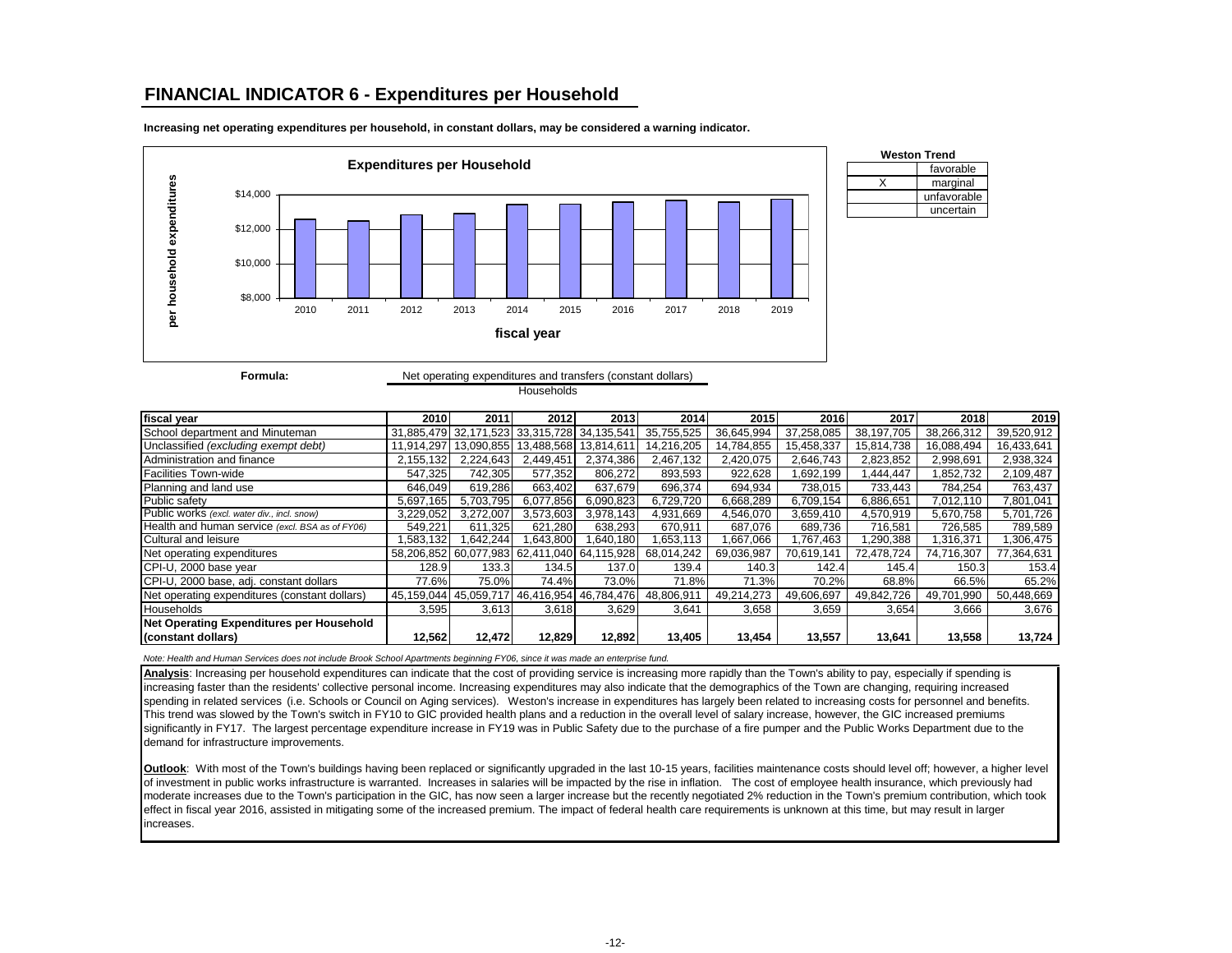#### **FINANCIAL INDICATOR 6 - Expenditures per Household**



**Increasing net operating expenditures per household, in constant dollars, may be considered a warning indicator.**



**Formula:** Net operating expenditures and transfers (constant dollars) **Households** 

| fiscal year                                     | 2010       | 2011       | 2012                                       | 2013                                        | 2014       | 2015       | 2016       | 2017       | 2018       | 2019       |
|-------------------------------------------------|------------|------------|--------------------------------------------|---------------------------------------------|------------|------------|------------|------------|------------|------------|
| School department and Minuteman                 |            |            | 31,885,479 32,171,523 33,315,728 34,135,54 |                                             | 35.755.525 | 36,645,994 | 37.258.085 | 38.197.705 | 38.266.312 | 39,520,912 |
| Unclassified (excluding exempt debt)            | 11.914.297 | 13.090.855 | 13,488,568                                 | 13,814,61                                   | 14.216.205 | 14.784.855 | 15.458.337 | 15.814.738 | 16,088,494 | 16,433,641 |
| Administration and finance                      | 2.155.132  | 2.224.643  | 2.449.451                                  | 2,374,386                                   | 2.467.132  | 2.420.075  | 2.646.743  | 2,823,852  | 2,998,691  | 2,938,324  |
| Facilities Town-wide                            | 547,325    | 742.305    | 577.352                                    | 806.272                                     | 893.593    | 922.628    | 1.692.199  | 1.444.447  | .852.732   | 2,109,487  |
| Planning and land use                           | 646.049    | 619.286    | 663.402                                    | 637.679                                     | 696.374    | 694.934    | 738.015    | 733,443    | 784.254    | 763,437    |
| Public safety                                   | 5.697.165  | 5.703.795  | 6.077.856                                  | 6.090.823                                   | 6.729.720  | 6.668.289  | 6.709.154  | 6,886,651  | 7.012.110  | 7.801.041  |
| Public works (excl. water div., incl. snow)     | 3,229,052  | 3.272.007  | 3,573,603                                  | 3,978,143                                   | 4,931,669  | 4,546,070  | 3,659,410  | 4,570,919  | 5,670,758  | 5,701,726  |
| Health and human service (excl. BSA as of FY06) | 549.221    | 611.325    | 621.280                                    | 638.293                                     | 670.911    | 687.076    | 689.736    | 716.581    | 726.585    | 789,589    |
| Cultural and leisure                            | .583,132   | .642.244   | .643.800                                   | .640.180                                    | .653.113   | .667.066   | 1.767.463  | 1,290,388  | .316.371   | ,306,475   |
| Net operating expenditures                      |            |            |                                            | 58,206,852 60,077,983 62,411,040 64,115,928 | 68,014,242 | 69,036,987 | 70.619.141 | 72.478.724 | 74,716,307 | 77,364,631 |
| CPI-U, 2000 base year                           | 128.9      | 133.3      | 134.5                                      | 137.0                                       | 139.4      | 140.3      | 142.4      | 145.4      | 150.3      | 153.4      |
| CPI-U, 2000 base, adj. constant dollars         | 77.6%      | 75.0%      | 74.4%                                      | 73.0%                                       | 71.8%      | 71.3%      | 70.2%      | 68.8%      | 66.5%      | 65.2%      |
| Net operating expenditures (constant dollars)   | 45.159.044 | 45,059,717 | 46,416,954                                 | 46,784,476                                  | 48,806,911 | 49,214,273 | 49,606,697 | 49,842,726 | 49,701,990 | 50,448,669 |
| Households                                      | 3,595      | 3,613      | 3,618                                      | 3,629                                       | 3,641      | 3,658      | 3,659      | 3,654      | 3,666      | 3,676      |
| Net Operating Expenditures per Household        |            |            |                                            |                                             |            |            |            |            |            |            |
| (constant dollars)                              | 12,562     | 12,472     | 12,829                                     | 12,892                                      | 13,405     | 13.454     | 13,557     | 13,641     | 13,558     | 13,724     |

*Note: Health and Human Services does not include Brook School Apartments beginning FY06, since it was made an enterprise fund.*

**Analysis**: Increasing per household expenditures can indicate that the cost of providing service is increasing more rapidly than the Town's ability to pay, especially if spending is increasing faster than the residents' collective personal income. Increasing expenditures may also indicate that the demographics of the Town are changing, requiring increased spending in related services (i.e. Schools or Council on Aging services). Weston's increase in expenditures has largely been related to increasing costs for personnel and benefits. This trend was slowed by the Town's switch in FY10 to GIC provided health plans and a reduction in the overall level of salary increase, however, the GIC increased premiums significantly in FY17. The largest percentage expenditure increase in FY19 was in Public Safety due to the purchase of a fire pumper and the Public Works Department due to the demand for infrastructure improvements.

**Outlook**: With most of the Town's buildings having been replaced or significantly upgraded in the last 10-15 years, facilities maintenance costs should level off; however, a higher level of investment in public works infrastructure is warranted. Increases in salaries will be impacted by the rise in inflation. The cost of employee health insurance, which previously had moderate increases due to the Town's participation in the GIC, has now seen a larger increase but the recently negotiated 2% reduction in the Town's premium contribution, which took effect in fiscal year 2016, assisted in mitigating some of the increased premium. The impact of federal health care requirements is unknown at this time, but may result in larger increases.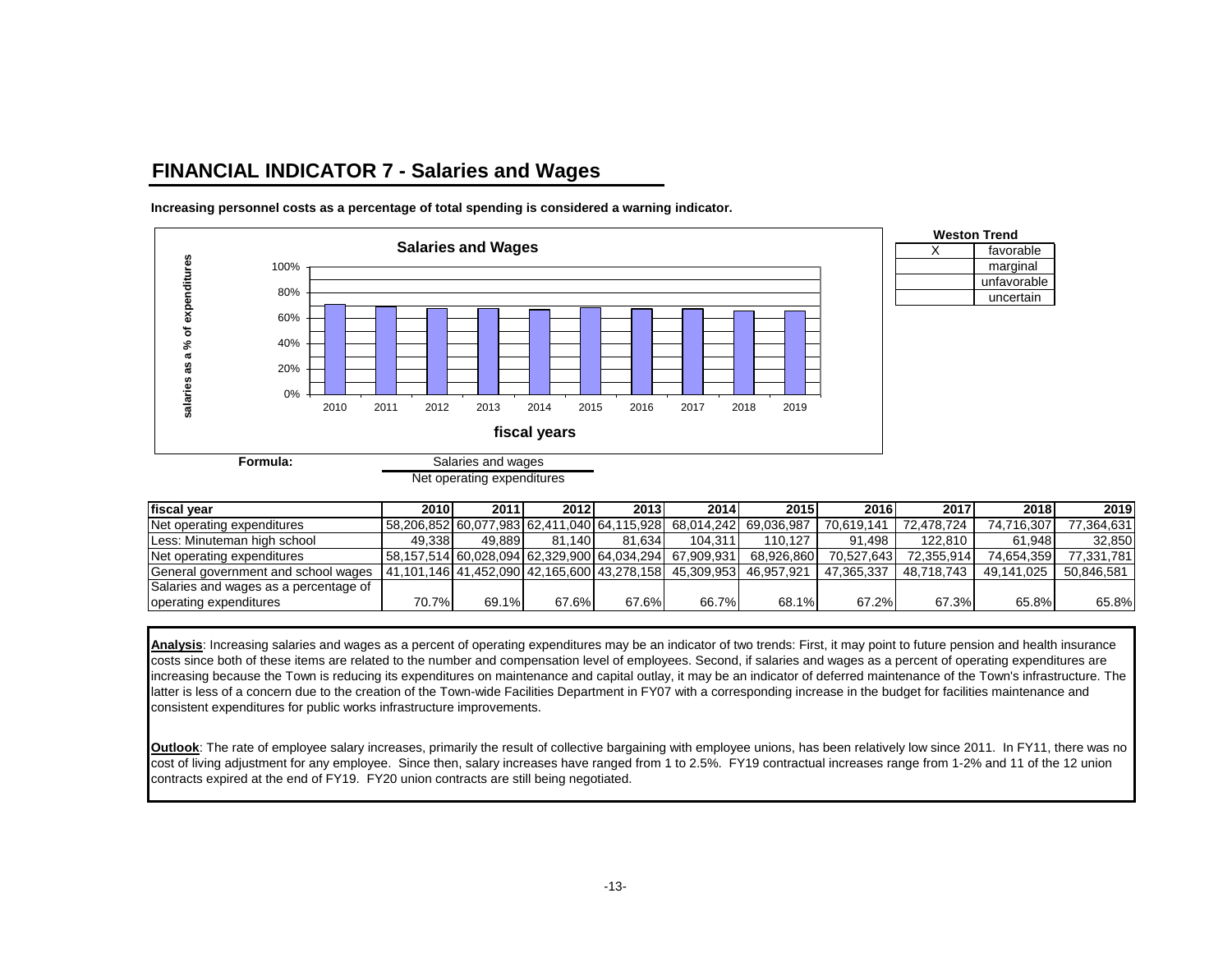### **FINANCIAL INDICATOR 7 - Salaries and Wages**



**Increasing personnel costs as a percentage of total spending is considered a warning indicator.**

| fiscal vear                           | 2010   | 2011   | 2012   | 2013                                              | 2014       | 2015                  | 2016       | 2017       | 2018       | 2019       |
|---------------------------------------|--------|--------|--------|---------------------------------------------------|------------|-----------------------|------------|------------|------------|------------|
| Net operating expenditures            |        |        |        | 58,206,852   60,077,983   62,411,040   64,115,928 |            | 68.014.242 69.036.987 | 70.619.141 | 72.478.724 | 74.716.307 | 77.364.631 |
| Less: Minuteman high school           | 49.338 | 49.889 | 81.140 | 81.634                                            | 104.311    | 110.127               | 91.498     | 122.810    | 61.948     | 32,850     |
| Net operating expenditures            |        |        |        | 58,157,514 60,028,094 62,329,900 64,034,294       | 67.909.931 | 68.926.860            | 70.527.643 | 72.355.914 | 74.654.359 | 77,331,781 |
| General government and school wages   |        |        |        | 41,101,146   41,452,090   42,165,600   43,278,158 | 45.309.953 | 46.957.921            | 47.365.337 | 48.718.743 | 49.141.025 | 50.846.581 |
| Salaries and wages as a percentage of |        |        |        |                                                   |            |                       |            |            |            |            |
| operating expenditures                | 70.7%  | 69.1%  | 67.6%  | 67.6%                                             | 66.7%      | 68.1%                 | 67.2%      | 67.3%      | 65.8%      | 65.8%      |

**Analysis**: Increasing salaries and wages as a percent of operating expenditures may be an indicator of two trends: First, it may point to future pension and health insurance costs since both of these items are related to the number and compensation level of employees. Second, if salaries and wages as a percent of operating expenditures are increasing because the Town is reducing its expenditures on maintenance and capital outlay, it may be an indicator of deferred maintenance of the Town's infrastructure. The latter is less of a concern due to the creation of the Town-wide Facilities Department in FY07 with a corresponding increase in the budget for facilities maintenance and consistent expenditures for public works infrastructure improvements.

**Outlook:** The rate of employee salary increases, primarily the result of collective bargaining with employee unions, has been relatively low since 2011. In FY11, there was no cost of living adjustment for any employee. Since then, salary increases have ranged from 1 to 2.5%. FY19 contractual increases range from 1-2% and 11 of the 12 union contracts expired at the end of FY19. FY20 union contracts are still being negotiated.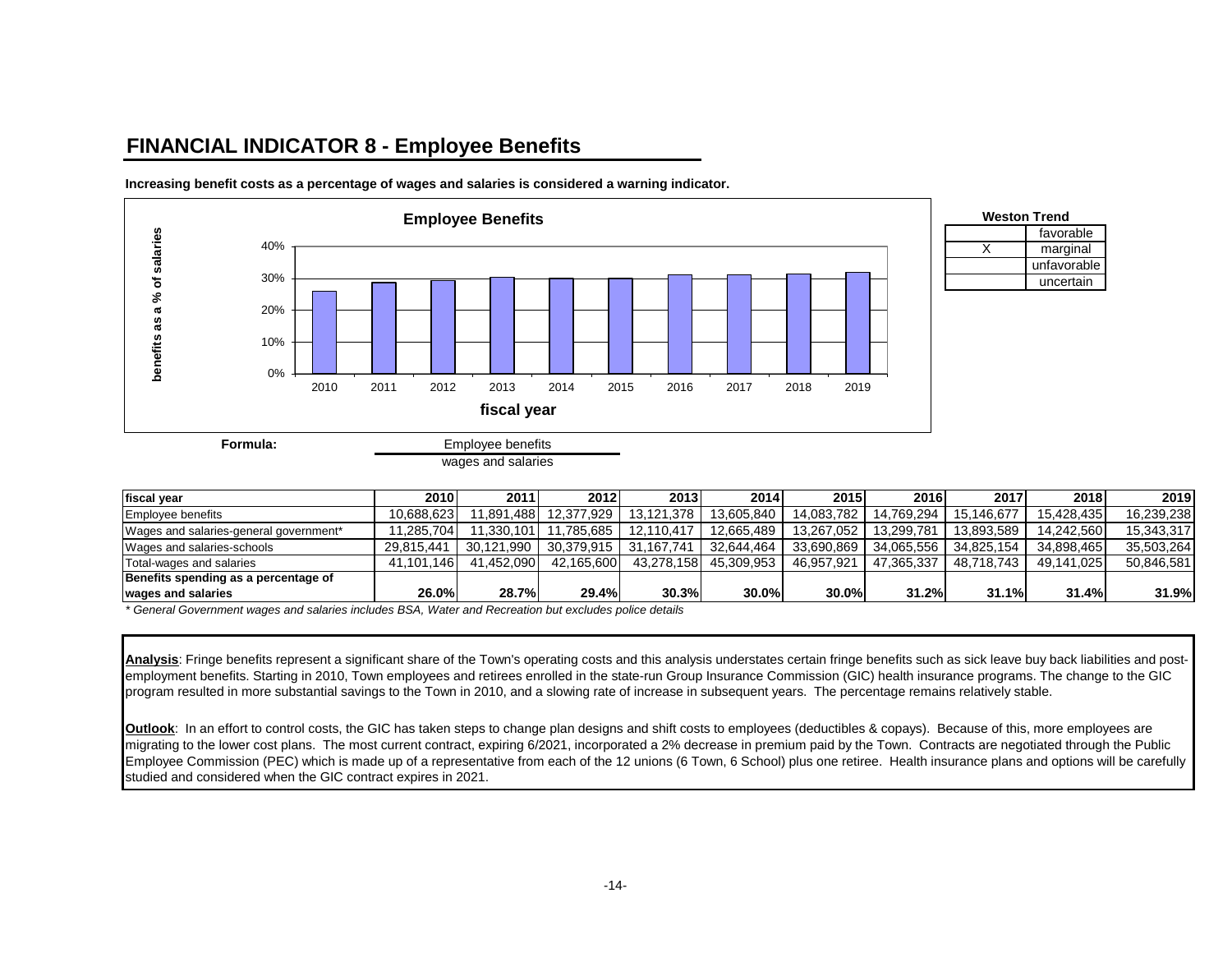## **FINANCIAL INDICATOR 8 - Employee Benefits**



**Increasing benefit costs as a percentage of wages and salaries is considered a warning indicator.**

| fiscal vear                            | 2010       | 2011       | 2012       | 2013                  | 2014       | <b>2015</b> | 2016       | 2017       | 2018       | 2019       |
|----------------------------------------|------------|------------|------------|-----------------------|------------|-------------|------------|------------|------------|------------|
| <b>Employee benefits</b>               | 10.688.623 | 11.891.488 | 12.377.929 | 13.121.378            | 13.605.840 | 14.083.782  | 14.769.294 | 15.146.677 | 15.428.435 | 16,239,238 |
| Wages and salaries-general government* | 1.285.704  | 11,330,101 | .785.685   | 12.110.417            | 12.665.489 | 13.267.052  | 13.299.781 | 13.893.589 | 14.242.560 | 15.343.317 |
| Wages and salaries-schools             | 29.815.441 | 30.121.990 |            | 30.379.915 31.167.741 | 32.644.464 | 33.690.869  | 34.065.556 | 34.825.154 | 34.898.465 | 35.503.264 |
| Total-wages and salaries               | 41.101.146 | 41.452.090 | 42.165.600 | 43.278.158            | 45.309.953 | 46.957.921  | 47.365.337 | 48.718.743 | 49.141.025 | 50.846.581 |
| Benefits spending as a percentage of   |            |            |            |                       |            |             |            |            |            |            |
| wages and salaries                     | 26.0%      | 28.7%      | 29.4%      | 30.3%                 | 30.0%      | 30.0%       | 31.2%      | 31.1%      | 31.4%      | 31.9%      |

*\* General Government wages and salaries includes BSA, Water and Recreation but excludes police details*

Analysis: Fringe benefits represent a significant share of the Town's operating costs and this analysis understates certain fringe benefits such as sick leave buy back liabilities and postemployment benefits. Starting in 2010, Town employees and retirees enrolled in the state-run Group Insurance Commission (GIC) health insurance programs. The change to the GIC program resulted in more substantial savings to the Town in 2010, and a slowing rate of increase in subsequent years. The percentage remains relatively stable.

**Outlook:** In an effort to control costs, the GIC has taken steps to change plan designs and shift costs to employees (deductibles & copays). Because of this, more employees are migrating to the lower cost plans. The most current contract, expiring 6/2021, incorporated a 2% decrease in premium paid by the Town. Contracts are negotiated through the Public Employee Commission (PEC) which is made up of a representative from each of the 12 unions (6 Town, 6 School) plus one retiree. Health insurance plans and options will be carefully studied and considered when the GIC contract expires in 2021.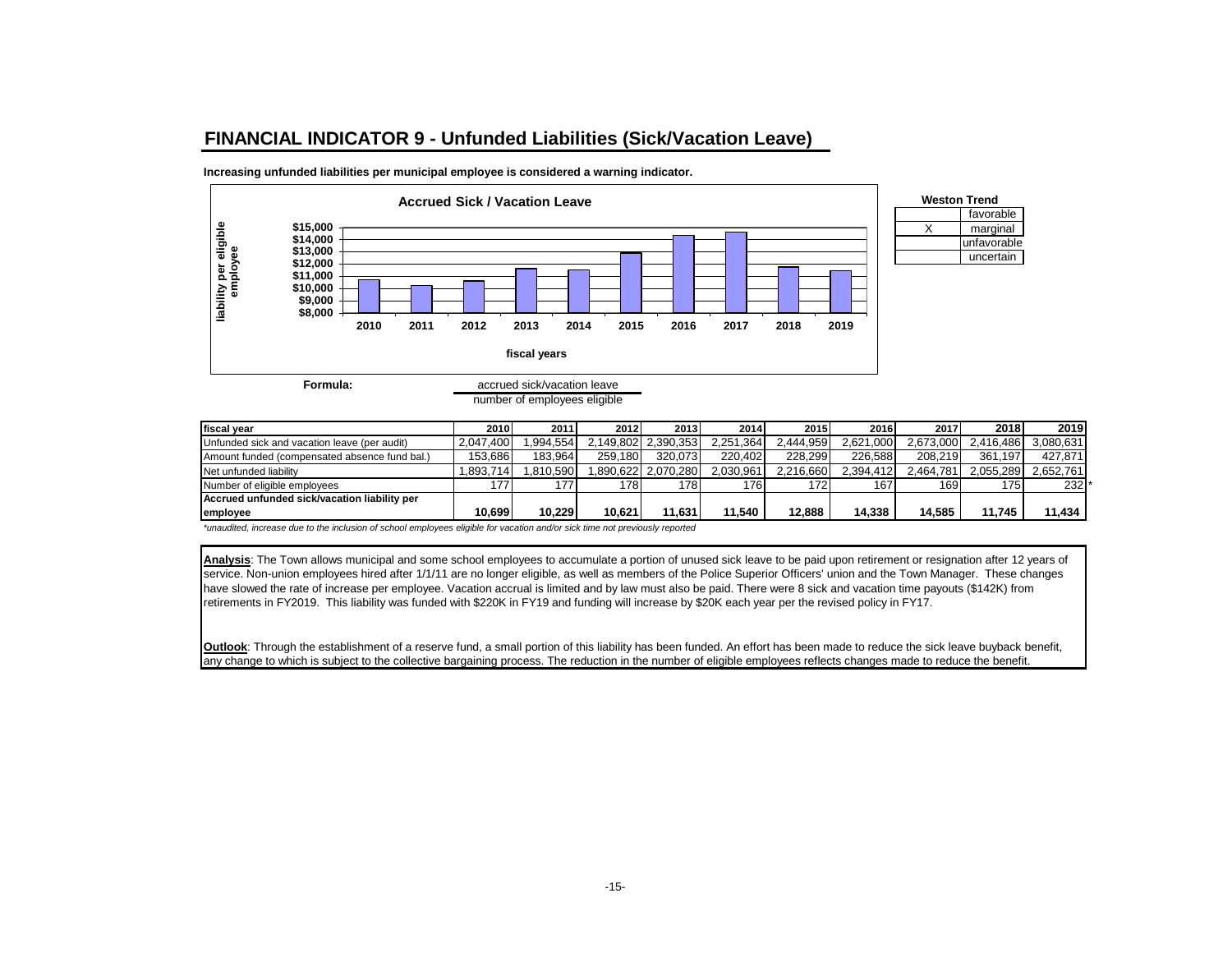### **FINANCIAL INDICATOR 9 - Unfunded Liabilities (Sick/Vacation Leave)**

**Increasing unfunded liabilities per municipal employee is considered a warning indicator.**



number of employees eligible

| fiscal vear                                   | 2010      | 2011     | 2012    | 2013                | 2014      | 2015      | 2016      | 2017      | 2018      | 2019      |
|-----------------------------------------------|-----------|----------|---------|---------------------|-----------|-----------|-----------|-----------|-----------|-----------|
| Unfunded sick and vacation leave (per audit)  | 2.047.400 | .994,554 |         | 2,149,802 2,390,353 | 2,251,364 | 2.444.959 | 2,621,000 | 2,673,000 | 2.416.486 | 3,080,631 |
| Amount funded (compensated absence fund bal.) | 153.686   | 183.964  | 259.180 | 320.073             | 220.402   | 228.299   | 226.588   | 208.219   | 361.197   | 427.871   |
| Net unfunded liability                        | .893.714  | .810.590 |         | 1.890.622 2.070.280 | 2.030.961 | 2.216.660 | 2.394.412 | 2.464.781 | 2.055.289 | 2.652.761 |
| Number of eligible employees                  | 177       | 177      | 1781    | 178                 | 176       | 172       | 167       | 169       | 175       | 232       |
| Accrued unfunded sick/vacation liability per  |           |          |         |                     |           |           |           |           |           |           |
| employee                                      | 10.699    | 10.229   | 10.621  | 11.631              | 11.540    | 12.888    | 14.338    | 14.585    | 11.745    | 11.434    |

favorable

unfavorable uncertain

*\*unaudited, increase due to the inclusion of school employees eligible for vacation and/or sick time not previously reported*

**Analysis**: The Town allows municipal and some school employees to accumulate a portion of unused sick leave to be paid upon retirement or resignation after 12 years of service. Non-union employees hired after 1/1/11 are no longer eligible, as well as members of the Police Superior Officers' union and the Town Manager. These changes have slowed the rate of increase per employee. Vacation accrual is limited and by law must also be paid. There were 8 sick and vacation time payouts (\$142K) from retirements in FY2019. This liability was funded with \$220K in FY19 and funding will increase by \$20K each year per the revised policy in FY17.

**Outlook**: Through the establishment of a reserve fund, a small portion of this liability has been funded. An effort has been made to reduce the sick leave buyback benefit, any change to which is subject to the collective bargaining process. The reduction in the number of eligible employees reflects changes made to reduce the benefit.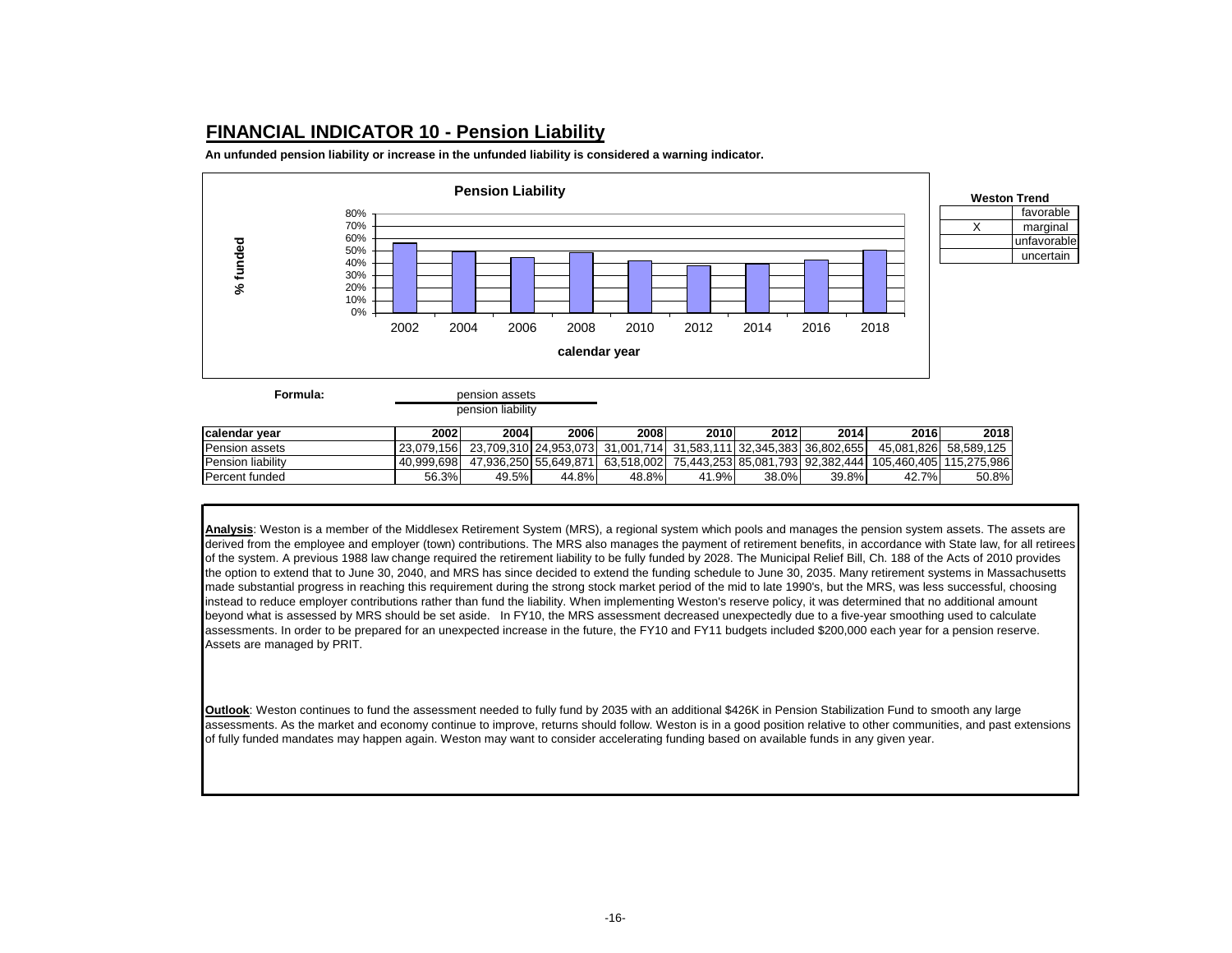### **FINANCIAL INDICATOR 10 - Pension Liability**

**An unfunded pension liability or increase in the unfunded liability is considered a warning indicator.**



**Formula:**

pension liability

| <b>Icalendar vear</b> | 20021      | 2004  | 2006  | 2008                                                                        | 2010  | 2012  | 2014  | 2016                                                         | 2018                  |
|-----------------------|------------|-------|-------|-----------------------------------------------------------------------------|-------|-------|-------|--------------------------------------------------------------|-----------------------|
| <b>Pension assets</b> | 23.079.156 |       |       | 23.709.310   24.953.073   31.001.714   31.583.111   32.345.383   36.802.655 |       |       |       |                                                              | 45.081.826 58.589.125 |
| Pension liability     | 40.999.698 |       |       | 47,936,250 55,649,871 63,518,002                                            |       |       |       | 75.443.253  85.081.793  92.382.444  105.460.405  115.275.986 |                       |
| Percent funded        | 56.3%      | 49.5% | 44.8% | 48.8%                                                                       | 41.9% | 38.0% | 39.8% | 42.7%                                                        | 50.8%                 |

**Analysis**: Weston is a member of the Middlesex Retirement System (MRS), a regional system which pools and manages the pension system assets. The assets are derived from the employee and employer (town) contributions. The MRS also manages the payment of retirement benefits, in accordance with State law, for all retirees of the system. A previous 1988 law change required the retirement liability to be fully funded by 2028. The Municipal Relief Bill, Ch. 188 of the Acts of 2010 provides the option to extend that to June 30, 2040, and MRS has since decided to extend the funding schedule to June 30, 2035. Many retirement systems in Massachusetts made substantial progress in reaching this requirement during the strong stock market period of the mid to late 1990's, but the MRS, was less successful, choosing instead to reduce employer contributions rather than fund the liability. When implementing Weston's reserve policy, it was determined that no additional amount beyond what is assessed by MRS should be set aside. In FY10, the MRS assessment decreased unexpectedly due to a five-year smoothing used to calculate assessments. In order to be prepared for an unexpected increase in the future, the FY10 and FY11 budgets included \$200,000 each year for a pension reserve. Assets are managed by PRIT.

**Outlook**: Weston continues to fund the assessment needed to fully fund by 2035 with an additional \$426K in Pension Stabilization Fund to smooth any large assessments. As the market and economy continue to improve, returns should follow. Weston is in a good position relative to other communities, and past extensions of fully funded mandates may happen again. Weston may want to consider accelerating funding based on available funds in any given year.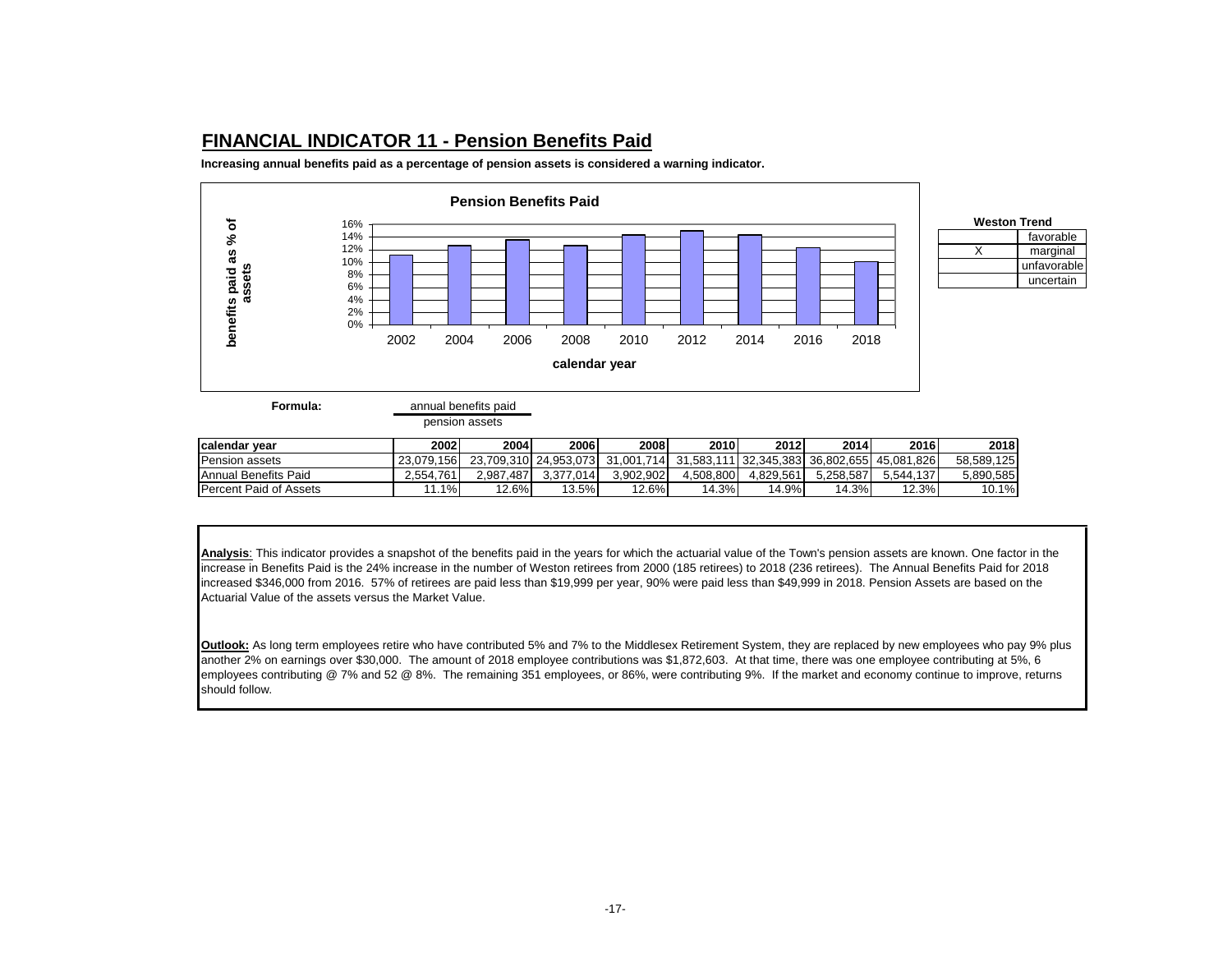### **FINANCIAL INDICATOR 11 - Pension Benefits Paid**

**Increasing annual benefits paid as a percentage of pension assets is considered a warning indicator.** 



favorable

unfavorable uncertain

**Formula:** annual benefits paid

pension assets

| <b>Icalendar vear</b>         | 2002       | 2004      | 2006      | 2008                                                                         | 2010      | 2012      | 2014      | 2016      | 2018       |
|-------------------------------|------------|-----------|-----------|------------------------------------------------------------------------------|-----------|-----------|-----------|-----------|------------|
| <b>Pension assets</b>         | 23.079.156 |           |           | 23,709,310 24,953,073 31,001,714 31,583,111 32,345,383 36,802,655 45,081,826 |           |           |           |           | 58.589.125 |
| Annual Benefits Paid          | 2.554.761  | 2.987.487 | 3.377.014 | 3.902.902                                                                    | 4.508.800 | 4.829.561 | 5.258.587 | 5.544.137 | 5.890.585  |
| <b>Percent Paid of Assets</b> | 1%         | 12.6%     | 13.5%     | 12.6%                                                                        | $+3%$     | 14.9%     | 14.3%     | 12.3%     | 10.1%      |

**Analysis**: This indicator provides a snapshot of the benefits paid in the years for which the actuarial value of the Town's pension assets are known. One factor in the increase in Benefits Paid is the 24% increase in the number of Weston retirees from 2000 (185 retirees) to 2018 (236 retirees). The Annual Benefits Paid for 2018 increased \$346,000 from 2016. 57% of retirees are paid less than \$19,999 per year, 90% were paid less than \$49,999 in 2018. Pension Assets are based on the Actuarial Value of the assets versus the Market Value.

**Outlook:** As long term employees retire who have contributed 5% and 7% to the Middlesex Retirement System, they are replaced by new employees who pay 9% plus another 2% on earnings over \$30,000. The amount of 2018 employee contributions was \$1,872,603. At that time, there was one employee contributing at 5%, 6 employees contributing @ 7% and 52 @ 8%. The remaining 351 employees, or 86%, were contributing 9%. If the market and economy continue to improve, returns should follow.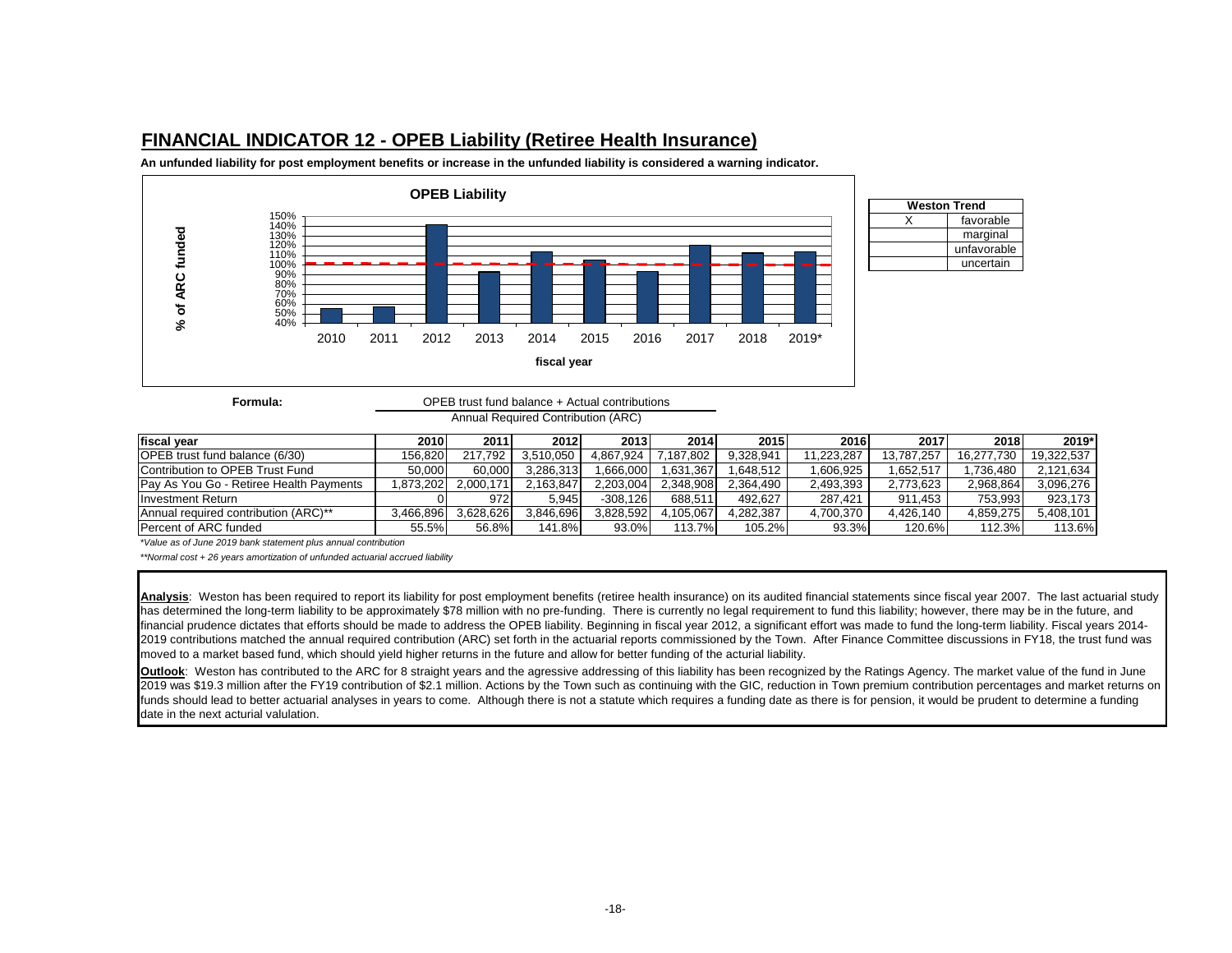### **FINANCIAL INDICATOR 12 - OPEB Liability (Retiree Health Insurance)**

**An unfunded liability for post employment benefits or increase in the unfunded liability is considered a warning indicator.**



**Formula:**

### OPEB trust fund balance + Actual contributions

| Annual Required Contribution (ARC) |  |
|------------------------------------|--|
|------------------------------------|--|

| fiscal vear                             | 2010      | 2011      | 2012      | 2013       | 2014      | 2015      | 2016       | 2017       | 2018       | 2019*      |
|-----------------------------------------|-----------|-----------|-----------|------------|-----------|-----------|------------|------------|------------|------------|
| <b>OPEB</b> trust fund balance (6/30)   | 156.820   | 217.792   | 3.510.050 | 4.867.924  | .187.802  | 9.328.941 | 11.223.287 | 13.787.257 | 16.277.730 | 19.322.537 |
| Contribution to OPEB Trust Fund         | 50.000    | 60.000    | 3.286.313 | .666.000   | .631.367  | .648.512  | .606.925   | .652.517   | .736.480   | 2.121.634  |
| Pay As You Go - Retiree Health Payments | .873.202  | 2.000.171 | .163.847  | 2.203.004  | 2.348.908 | 2.364.490 | 2.493.393  | 2.773.623  | 2.968.864  | 3.096.276  |
| <b>Investment Return</b>                |           | 9721      | 5.945     | $-308.126$ | 688.511   | 492.627   | 287.421    | 911.453    | 753.993    | 923.173    |
| Annual required contribution (ARC)**    | 3.466.896 | 3.628.626 | 3.846.696 | 3.828.592  | 4.105.067 | 4.282.387 | 4.700.370  | 4.426.140  | 4.859.275  | 5.408.101  |
| <b>Percent of ARC funded</b>            | 55.5%     | 56.8%     | 141.8%    | 93.0%      | 113.7%    | 105.2%    | 93.3%      | 120.6%     | 112.3%     | 113.6%     |

*\*Value as of June 2019 bank statement plus annual contribution*

*\*\*Normal cost + 26 years amortization of unfunded actuarial accrued liability*

Analysis: Weston has been required to report its liability for post employment benefits (retiree health insurance) on its audited financial statements since fiscal year 2007. The last actuarial study has determined the long-term liability to be approximately \$78 million with no pre-funding. There is currently no legal requirement to fund this liability; however, there may be in the future, and financial prudence dictates that efforts should be made to address the OPEB liability. Beginning in fiscal year 2012, a significant effort was made to fund the long-term liability. Fiscal years 2014-2019 contributions matched the annual required contribution (ARC) set forth in the actuarial reports commissioned by the Town. After Finance Committee discussions in FY18, the trust fund was moved to a market based fund, which should yield higher returns in the future and allow for better funding of the acturial liability.

**Outlook**: Weston has contributed to the ARC for 8 straight years and the agressive addressing of this liability has been recognized by the Ratings Agency. The market value of the fund in June 2019 was \$19.3 million after the FY19 contribution of \$2.1 million. Actions by the Town such as continuing with the GIC, reduction in Town premium contribution percentages and market returns on funds should lead to better actuarial analyses in years to come. Although there is not a statute which requires a funding date as there is for pension, it would be prudent to determine a funding date in the next acturial valulation.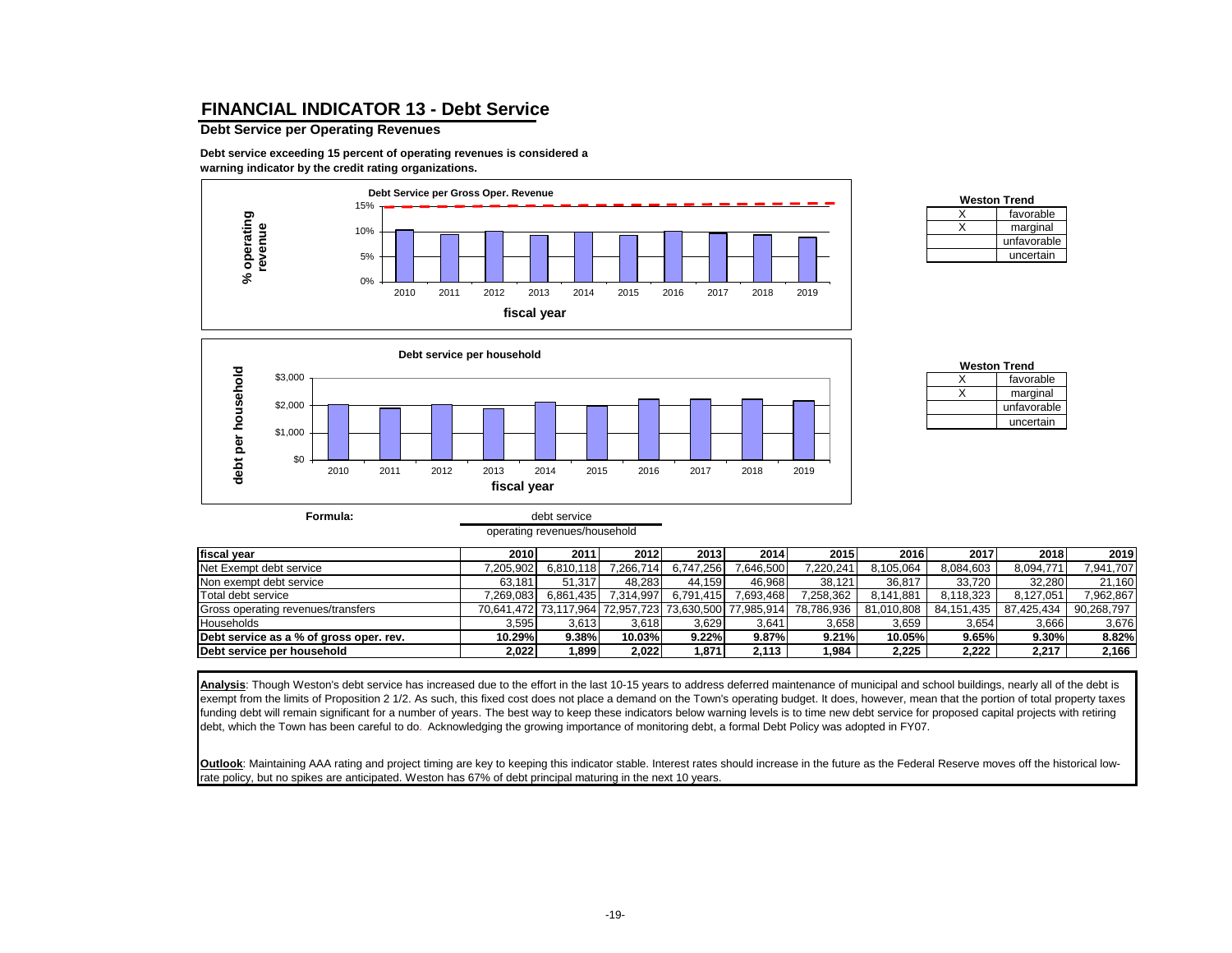### **FINANCIAL INDICATOR 13 - Debt Service**

#### **Debt Service per Operating Revenues**

**Formula:**

**Debt service exceeding 15 percent of operating revenues is considered a warning indicator by the credit rating organizations.**



| <b>Weston Trend</b> |
|---------------------|
| favorable           |
| marginal            |
| unfavorable         |
| uncertain           |



debt service operating revenues/household

| <b>Weston Trend</b> |
|---------------------|
| favorable           |
| marginal            |
| unfavorable         |
| uncertain           |

| fiscal vear                             | 2010      | 2011      | 2012      | 2013      | 2014                                                   | 2015       | 2016       | 2017         | 2018       | 2019       |
|-----------------------------------------|-----------|-----------|-----------|-----------|--------------------------------------------------------|------------|------------|--------------|------------|------------|
| Net Exempt debt service                 | 7.205.902 | 6,810,118 | 7.266.714 | 6.747.256 | 7.646.500                                              | 7.220.241  | 8.105.064  | 8.084.603    | 8,094,771  | 7,941,707  |
| Non exempt debt service                 | 63.181    | 51.317    | 48.283    | 44.159    | 46.968                                                 | 38.121     | 36.817     | 33.720       | 32,280     | 21,160     |
| Total debt service                      | 7.269.083 | 6.861.435 | 7,314,997 | 6.791.415 | 7.693.468                                              | 7,258,362  | 8.141.881  | 8.118.323    | 8.127.051  | 7,962,867  |
| Gross operating revenues/transfers      |           |           |           |           | 70,641,472 73,117,964 72,957,723 73,630,500 77,985,914 | 78,786,936 | 81,010,808 | 84, 151, 435 | 87.425.434 | 90,268,797 |
| Households                              | 3.595     | 3,613     | 3.618     | 3.629     | 3.641                                                  | 3,658      | 3,659      | 3,654        | 3,666      | 3,676      |
| Debt service as a % of gross oper. rev. | 10.29%    | 9.38%     | 10.03%    | 9.22%     | 9.87%                                                  | 9.21%      | 10.05%     | 9.65%        | 9.30%      | 8.82%      |
| Debt service per household              | 2,022     | 1,899     | 2,022     | 1,871     | 2.113                                                  | 1.984      | 2,225      | 2,222        | 2,217      | 2,166      |

**Analysis**: Though Weston's debt service has increased due to the effort in the last 10-15 years to address deferred maintenance of municipal and school buildings, nearly all of the debt is exempt from the limits of Proposition 2 1/2. As such, this fixed cost does not place a demand on the Town's operating budget. It does, however, mean that the portion of total property taxes funding debt will remain significant for a number of years. The best way to keep these indicators below warning levels is to time new debt service for proposed capital projects with retiring debt, which the Town has been careful to do*.* Acknowledging the growing importance of monitoring debt, a formal Debt Policy was adopted in FY07.

**Outlook**: Maintaining AAA rating and project timing are key to keeping this indicator stable. Interest rates should increase in the future as the Federal Reserve moves off the historical lowrate policy, but no spikes are anticipated. Weston has 67% of debt principal maturing in the next 10 years.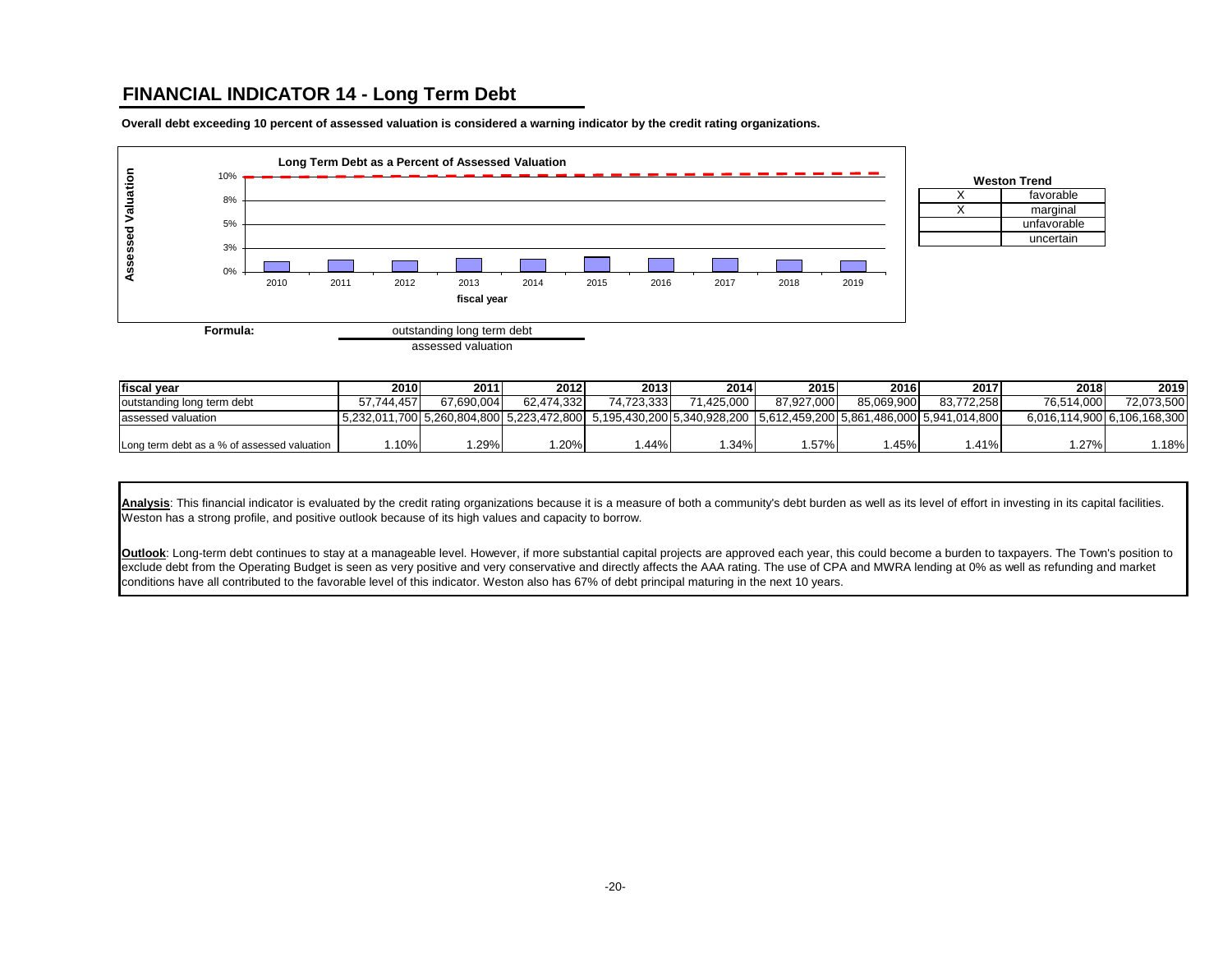### **FINANCIAL INDICATOR 14 - Long Term Debt**

**Long Term Debt as a Percent of Assessed Valuation Assessed Valuation Assessed Valuation** 10% 8% 5% 3% 0% 2010 2011 2012 2013 2014 2015 2016 2017 2018 2019 **fiscal year Formula:** outstanding long term debt assessed valuation

**Overall debt exceeding 10 percent of assessed valuation is considered a warning indicator by the credit rating organizations.**

X favorable  $X \qquad \qquad$  marginal unfavorable uncertain **Weston Trend**

| <b>Ifiscal vear</b>                         | 2010       | 2011       | 2012       | 2013       | 2014                                                                                                               | 2015       | 2016       | 2017       | 2018                        | 2019       |
|---------------------------------------------|------------|------------|------------|------------|--------------------------------------------------------------------------------------------------------------------|------------|------------|------------|-----------------------------|------------|
| outstanding long term debt                  | 57.744.457 | 67.690.004 | 62.474.332 | 74.723.333 | 71.425.000                                                                                                         | 87.927.000 | 85.069.900 | 83.772.258 | 76.514.000                  | 72,073,500 |
| assessed valuation                          |            |            |            |            | 5,232,011,700 5,260,804,800 5,223,472,800 5,195,430,200 5,340,928,200 5,612,459,200 5,861,486,000 5,941,014,800 5, |            |            |            | 6,016,114,900 6,106,168,300 |            |
|                                             |            |            |            |            |                                                                                                                    |            |            |            |                             |            |
| Long term debt as a % of assessed valuation | .10%       | .29%       | .20%       | .44%       | 1.34%                                                                                                              | . .57%     | .45%       | .41%       | 1.27%                       | .18%       |

Analysis: This financial indicator is evaluated by the credit rating organizations because it is a measure of both a community's debt burden as well as its level of effort in investing in its capital facilities. Weston has a strong profile, and positive outlook because of its high values and capacity to borrow.

**Outlook**: Long-term debt continues to stay at a manageable level. However, if more substantial capital projects are approved each year, this could become a burden to taxpayers. The Town's position to exclude debt from the Operating Budget is seen as very positive and very conservative and directly affects the AAA rating. The use of CPA and MWRA lending at 0% as well as refunding and market conditions have all contributed to the favorable level of this indicator. Weston also has 67% of debt principal maturing in the next 10 years.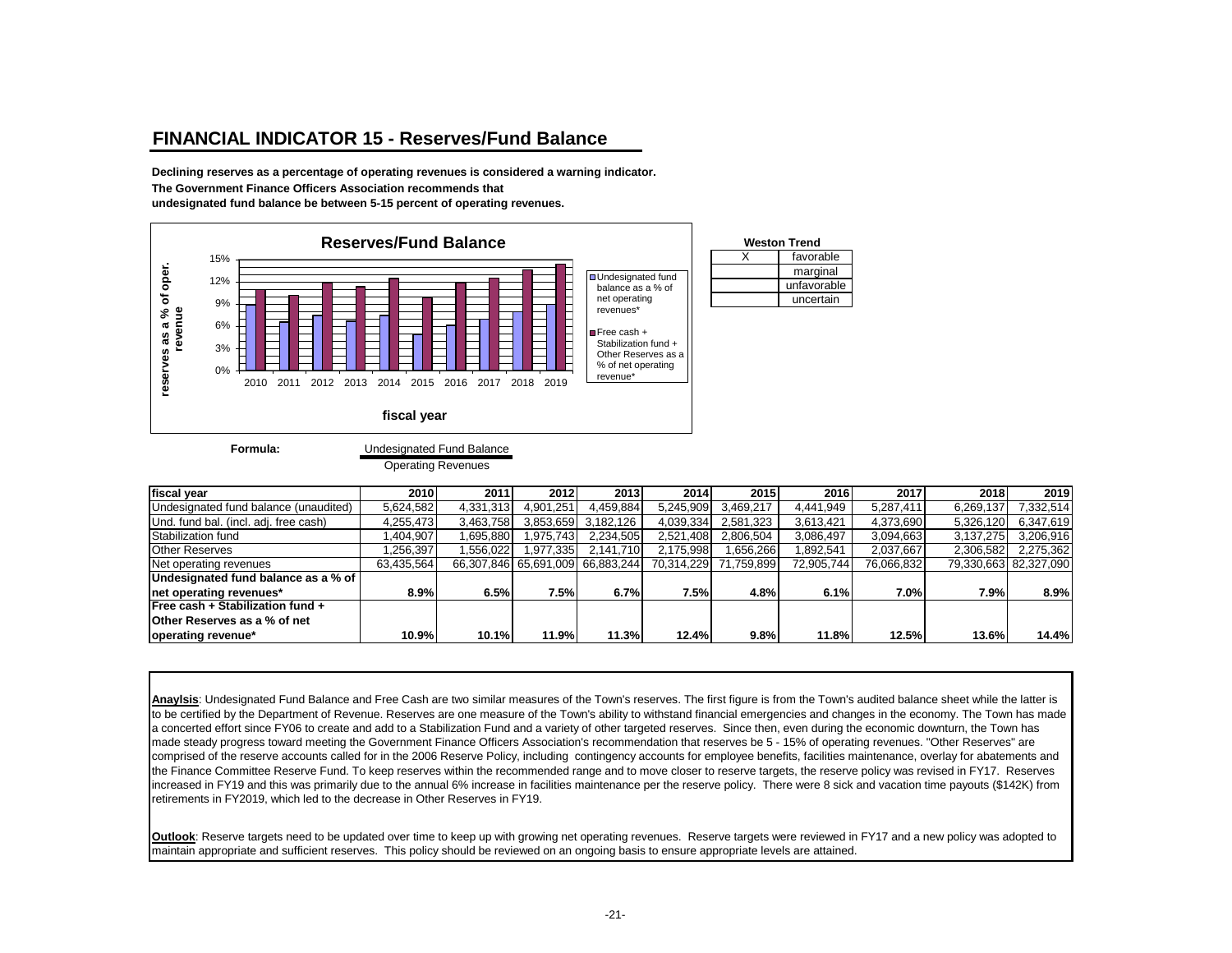### **FINANCIAL INDICATOR 15 - Reserves/Fund Balance**

**Declining reserves as a percentage of operating revenues is considered a warning indicator. The Government Finance Officers Association recommends that undesignated fund balance be between 5-15 percent of operating revenues.**



**Formula:**

#### Undesignated Fund Balance

Operating Revenues

| fiscal vear                           | 2010       | 2011      | 2012         | 2013                             | 2014       | 2015       | 2016       | 2017       | 2018      | 2019                  |
|---------------------------------------|------------|-----------|--------------|----------------------------------|------------|------------|------------|------------|-----------|-----------------------|
| Undesignated fund balance (unaudited) | 5,624,582  | 4,331,313 | 4.901.251    | 4,459,884                        | 5,245,909  | 3,469,217  | 4.441.949  | 5,287,411  | 6,269,137 | 332,514               |
| Und. fund bal. (incl. adj. free cash) | 4,255,473  | 3,463,758 | 3,853,659    | 3,182,126                        | 4,039,334  | 2,581,323  | 3,613,421  | 4,373,690  | 5,326,120 | 6,347,619             |
| Stabilization fund                    | ,404,907   | .695,880  | ,975,743     | 2,234,505                        | 2,521,408  | 2,806,504  | 3,086,497  | 3,094,663  | 3,137,275 | 3,206,916             |
| <b>Other Reserves</b>                 | .256.397   | .556,022  | .977,335     | 2,141,710                        | 2.175.998  | 1,656,266  | 892,541.   | 2,037,667  | 2,306,582 | 2,275,362             |
| Net operating revenues                | 63,435,564 |           |              | 66,307,846 65,691,009 66,883,244 | 70,314,229 | 71,759,899 | 72,905,744 | 76,066,832 |           | 79,330,663 82,327,090 |
| Undesignated fund balance as a % of   |            |           |              |                                  |            |            |            |            |           |                       |
| net operating revenues*               | 8.9%       | 6.5%      | 7.5%         | 6.7%                             | 7.5%       | 4.8%       | 6.1%       | 7.0%       | 7.9%      | 8.9%                  |
| Free cash + Stabilization fund +      |            |           |              |                                  |            |            |            |            |           |                       |
| <b>Other Reserves as a % of net</b>   |            |           |              |                                  |            |            |            |            |           |                       |
| operating revenue*                    | 10.9%      | 10.1%     | <b>11.9%</b> | 11.3%                            | 12.4%      | 9.8%       | 11.8%      | 12.5%      | 13.6%     | 14.4%                 |

Anaylsis: Undesignated Fund Balance and Free Cash are two similar measures of the Town's reserves. The first figure is from the Town's audited balance sheet while the latter is to be certified by the Department of Revenue. Reserves are one measure of the Town's ability to withstand financial emergencies and changes in the economy. The Town has made a concerted effort since FY06 to create and add to a Stabilization Fund and a variety of other targeted reserves. Since then, even during the economic downturn, the Town has made steady progress toward meeting the Government Finance Officers Association's recommendation that reserves be 5 - 15% of operating revenues. "Other Reserves" are comprised of the reserve accounts called for in the 2006 Reserve Policy, including contingency accounts for employee benefits, facilities maintenance, overlay for abatements and the Finance Committee Reserve Fund. To keep reserves within the recommended range and to move closer to reserve targets, the reserve policy was revised in FY17. Reserves increased in FY19 and this was primarily due to the annual 6% increase in facilities maintenance per the reserve policy. There were 8 sick and vacation time payouts (\$142K) from retirements in FY2019, which led to the decrease in Other Reserves in FY19.

**Outlook**: Reserve targets need to be updated over time to keep up with growing net operating revenues. Reserve targets were reviewed in FY17 and a new policy was adopted to maintain appropriate and sufficient reserves. This policy should be reviewed on an ongoing basis to ensure appropriate levels are attained.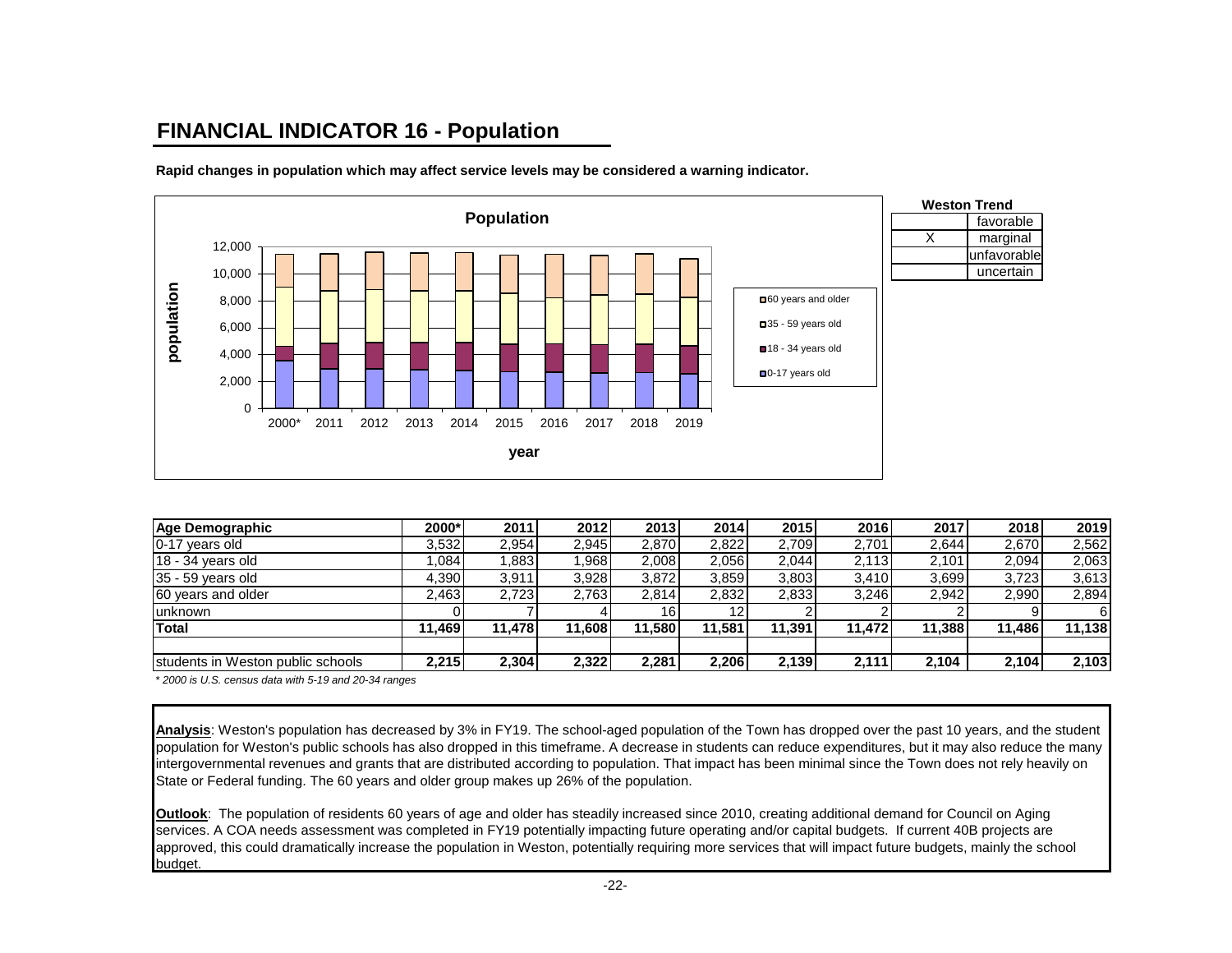# **FINANCIAL INDICATOR 16 - Population**



**Rapid changes in population which may affect service levels may be considered a warning indicator.**

| Age Demographic                   | 2000*  | 2011   | 2012   | 2013   | 2014   | 2015   | 2016   | 2017   | 2018   | 2019   |
|-----------------------------------|--------|--------|--------|--------|--------|--------|--------|--------|--------|--------|
| 0-17 years old                    | 3,532  | 2.954  | 2,945  | 2,870  | 2,822  | 2,709  | 2,701  | 2.644  | 2,670  | 2,562  |
| $18 - 34$ years old               | .084   | .883   | .968   | 2,008  | 2,056  | 2,044  | 2,113  | 2.101  | 2,094  | 2,063  |
| $35 - 59$ years old               | 4.390  | 3.911  | 3,928  | 3,872  | 3,859  | 3,803  | 3.410  | 3,699  | 3,723  | 3,613  |
| 60 years and older                | 2.463  | 2,723  | 2,763  | 2,814  | 2,832  | 2,833  | 3.246  | 2.942  | 2,990  | 2,894  |
| <b>lunknown</b>                   |        |        |        | 16 I   |        |        |        |        |        |        |
| <b>Total</b>                      | 11.469 | 11.478 | 11,608 | 11.580 | 11.581 | 11.391 | 11.472 | 11.388 | 11.486 | 11,138 |
|                                   |        |        |        |        |        |        |        |        |        |        |
| students in Weston public schools | 2,215  | 2,304  | 2,322  | 2.281  | 2,206  | 2,139  | 2,111  | 2,104  | 2,104  | 2,103  |

*\* 2000 is U.S. census data with 5-19 and 20-34 ranges*

**Analysis**: Weston's population has decreased by 3% in FY19. The school-aged population of the Town has dropped over the past 10 years, and the student population for Weston's public schools has also dropped in this timeframe. A decrease in students can reduce expenditures, but it may also reduce the many intergovernmental revenues and grants that are distributed according to population. That impact has been minimal since the Town does not rely heavily on State or Federal funding. The 60 years and older group makes up 26% of the population.

**Outlook**: The population of residents 60 years of age and older has steadily increased since 2010, creating additional demand for Council on Aging services. A COA needs assessment was completed in FY19 potentially impacting future operating and/or capital budgets. If current 40B projects are approved, this could dramatically increase the population in Weston, potentially requiring more services that will impact future budgets, mainly the school budget.